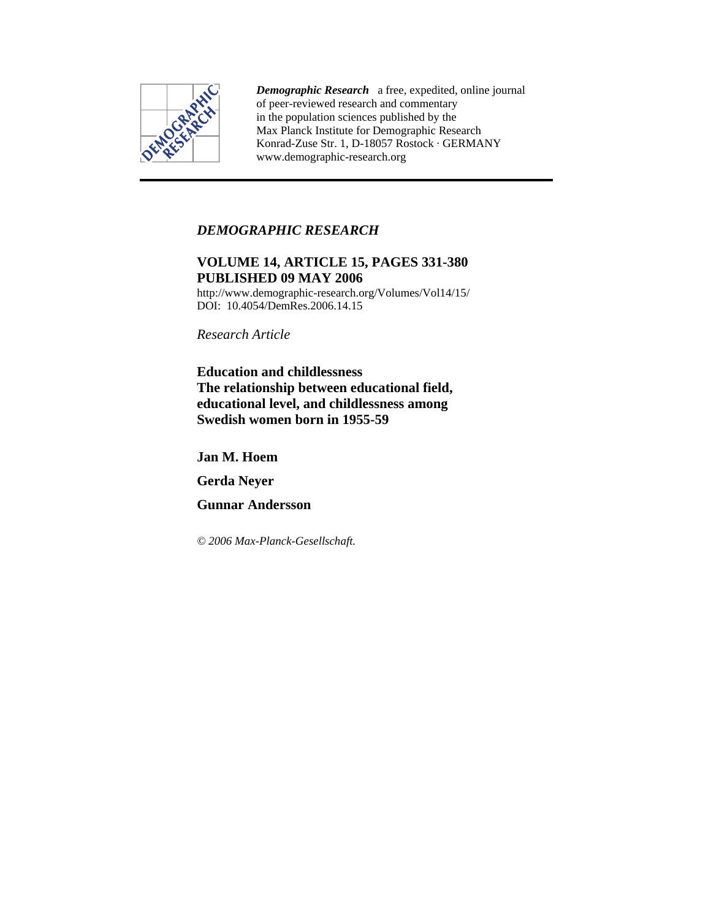

*Demographic Research* a free, expedited, online journal of peer-reviewed research and commentary in the population sciences published by the Max Planck Institute for Demographic Research Konrad-Zuse Str. 1, D-18057 Rostock · GERMANY www.demographic-research.org

# *DEMOGRAPHIC RESEARCH*

# **VOLUME 14, ARTICLE 15, PAGES 331-380 PUBLISHED 09 MAY 2006**

http://www.demographic-research.org/Volumes/Vol14/15/ DOI: 10.4054/DemRes.2006.14.15

*Research Article* 

**Education and childlessness The relationship between educational field, educational level, and childlessness among Swedish women born in 1955-59** 

**Jan M. Hoem** 

**Gerda Neyer** 

**Gunnar Andersson** 

*© 2006 Max-Planck-Gesellschaft.*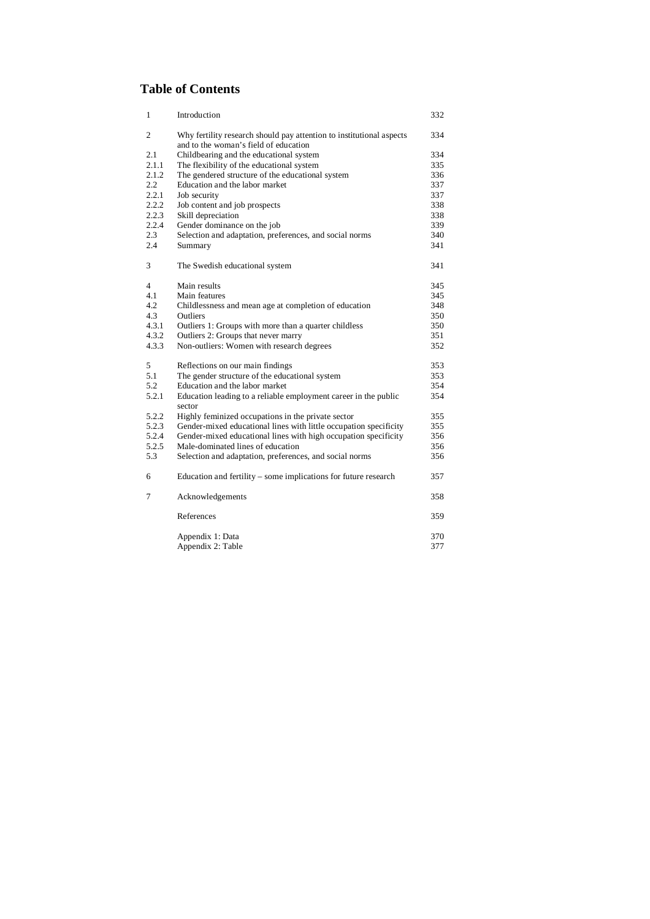# **Table of Contents**

| Introduction                                                         | 332                                                                                                                                                                                                                                                                                                                                                         |
|----------------------------------------------------------------------|-------------------------------------------------------------------------------------------------------------------------------------------------------------------------------------------------------------------------------------------------------------------------------------------------------------------------------------------------------------|
| Why fertility research should pay attention to institutional aspects | 334                                                                                                                                                                                                                                                                                                                                                         |
| Childbearing and the educational system                              | 334                                                                                                                                                                                                                                                                                                                                                         |
|                                                                      | 335                                                                                                                                                                                                                                                                                                                                                         |
| The gendered structure of the educational system                     | 336                                                                                                                                                                                                                                                                                                                                                         |
| Education and the labor market                                       | 337                                                                                                                                                                                                                                                                                                                                                         |
| Job security                                                         | 337                                                                                                                                                                                                                                                                                                                                                         |
| Job content and job prospects                                        | 338                                                                                                                                                                                                                                                                                                                                                         |
| Skill depreciation                                                   | 338                                                                                                                                                                                                                                                                                                                                                         |
| Gender dominance on the job                                          | 339                                                                                                                                                                                                                                                                                                                                                         |
| Selection and adaptation, preferences, and social norms              | 340                                                                                                                                                                                                                                                                                                                                                         |
| Summary                                                              | 341                                                                                                                                                                                                                                                                                                                                                         |
| The Swedish educational system                                       | 341                                                                                                                                                                                                                                                                                                                                                         |
| Main results                                                         | 345                                                                                                                                                                                                                                                                                                                                                         |
| Main features                                                        | 345                                                                                                                                                                                                                                                                                                                                                         |
|                                                                      | 348                                                                                                                                                                                                                                                                                                                                                         |
| Outliers                                                             | 350                                                                                                                                                                                                                                                                                                                                                         |
| Outliers 1: Groups with more than a quarter childless                | 350                                                                                                                                                                                                                                                                                                                                                         |
|                                                                      | 351                                                                                                                                                                                                                                                                                                                                                         |
| Non-outliers: Women with research degrees                            | 352                                                                                                                                                                                                                                                                                                                                                         |
|                                                                      | 353                                                                                                                                                                                                                                                                                                                                                         |
| The gender structure of the educational system                       | 353                                                                                                                                                                                                                                                                                                                                                         |
| Education and the labor market                                       | 354                                                                                                                                                                                                                                                                                                                                                         |
| Education leading to a reliable employment career in the public      | 354                                                                                                                                                                                                                                                                                                                                                         |
|                                                                      | 355                                                                                                                                                                                                                                                                                                                                                         |
|                                                                      | 355                                                                                                                                                                                                                                                                                                                                                         |
| Gender-mixed educational lines with high occupation specificity      | 356                                                                                                                                                                                                                                                                                                                                                         |
| Male-dominated lines of education                                    | 356                                                                                                                                                                                                                                                                                                                                                         |
| Selection and adaptation, preferences, and social norms              | 356                                                                                                                                                                                                                                                                                                                                                         |
| Education and fertility – some implications for future research      | 357                                                                                                                                                                                                                                                                                                                                                         |
| Acknowledgements                                                     | 358                                                                                                                                                                                                                                                                                                                                                         |
| References                                                           | 359                                                                                                                                                                                                                                                                                                                                                         |
| Appendix 1: Data                                                     | 370                                                                                                                                                                                                                                                                                                                                                         |
| Appendix 2: Table                                                    | 377                                                                                                                                                                                                                                                                                                                                                         |
|                                                                      | and to the woman's field of education<br>The flexibility of the educational system<br>Childlessness and mean age at completion of education<br>Outliers 2: Groups that never marry<br>Reflections on our main findings<br>sector<br>Highly feminized occupations in the private sector<br>Gender-mixed educational lines with little occupation specificity |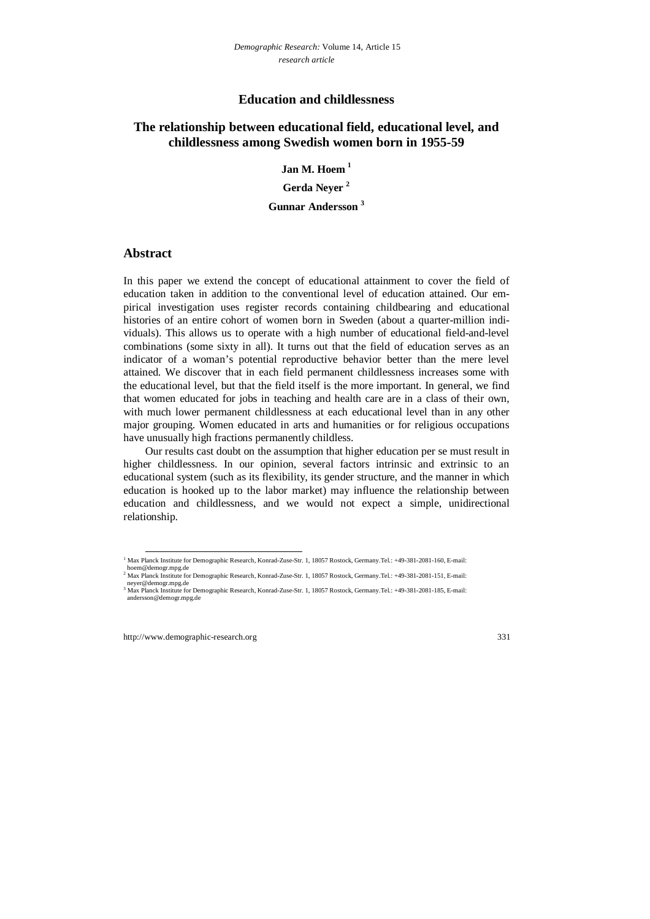## **Education and childlessness**

# **The relationship between educational field, educational level, and childlessness among Swedish women born in 1955-59**

**Jan M. Hoem 1**

**Gerda Neyer 2**

**Gunnar Andersson <sup>3</sup>**

## **Abstract**

In this paper we extend the concept of educational attainment to cover the field of education taken in addition to the conventional level of education attained. Our empirical investigation uses register records containing childbearing and educational histories of an entire cohort of women born in Sweden (about a quarter-million individuals). This allows us to operate with a high number of educational field-and-level combinations (some sixty in all). It turns out that the field of education serves as an indicator of a woman's potential reproductive behavior better than the mere level attained. We discover that in each field permanent childlessness increases some with the educational level, but that the field itself is the more important. In general, we find that women educated for jobs in teaching and health care are in a class of their own, with much lower permanent childlessness at each educational level than in any other major grouping. Women educated in arts and humanities or for religious occupations have unusually high fractions permanently childless.

Our results cast doubt on the assumption that higher education per se must result in higher childlessness. In our opinion, several factors intrinsic and extrinsic to an educational system (such as its flexibility, its gender structure, and the manner in which education is hooked up to the labor market) may influence the relationship between education and childlessness, and we would not expect a simple, unidirectional relationship.

 <sup>1</sup> Max Planck Institute for Demographic Research, Konrad-Zuse-Str. 1, 18057 Rostock, Germany.Tel.: +49-381-2081-160, E-mail: hoem@demogr.mpg.de

<sup>&</sup>lt;sup>2</sup> Max Planck Institute for Demographic Research, Konrad-Zuse-Str. 1, 18057 Rostock, Germany.Tel.: +49-381-2081-151, E-mail: neyer@demogr.mpg.de

<sup>&</sup>lt;sup>3</sup> Max Planck Institute for Demographic Research, Konrad-Zuse-Str. 1, 18057 Rostock, Germany.Tel.: +49-381-2081-185, E-mail: andersson@demogr.mpg.de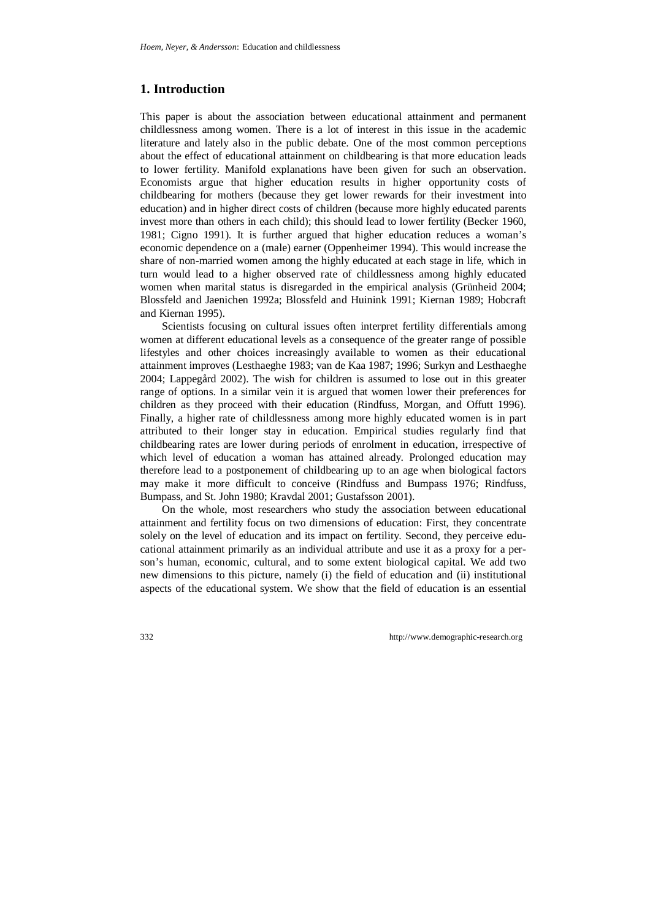## **1. Introduction**

This paper is about the association between educational attainment and permanent childlessness among women. There is a lot of interest in this issue in the academic literature and lately also in the public debate. One of the most common perceptions about the effect of educational attainment on childbearing is that more education leads to lower fertility. Manifold explanations have been given for such an observation. Economists argue that higher education results in higher opportunity costs of childbearing for mothers (because they get lower rewards for their investment into education) and in higher direct costs of children (because more highly educated parents invest more than others in each child); this should lead to lower fertility (Becker 1960, 1981; Cigno 1991). It is further argued that higher education reduces a woman's economic dependence on a (male) earner (Oppenheimer 1994). This would increase the share of non-married women among the highly educated at each stage in life, which in turn would lead to a higher observed rate of childlessness among highly educated women when marital status is disregarded in the empirical analysis (Grünheid 2004; Blossfeld and Jaenichen 1992a; Blossfeld and Huinink 1991; Kiernan 1989; Hobcraft and Kiernan 1995).

Scientists focusing on cultural issues often interpret fertility differentials among women at different educational levels as a consequence of the greater range of possible lifestyles and other choices increasingly available to women as their educational attainment improves (Lesthaeghe 1983; van de Kaa 1987; 1996; Surkyn and Lesthaeghe 2004; Lappegård 2002). The wish for children is assumed to lose out in this greater range of options. In a similar vein it is argued that women lower their preferences for children as they proceed with their education (Rindfuss, Morgan, and Offutt 1996). Finally, a higher rate of childlessness among more highly educated women is in part attributed to their longer stay in education. Empirical studies regularly find that childbearing rates are lower during periods of enrolment in education, irrespective of which level of education a woman has attained already. Prolonged education may therefore lead to a postponement of childbearing up to an age when biological factors may make it more difficult to conceive (Rindfuss and Bumpass 1976; Rindfuss, Bumpass, and St. John 1980; Kravdal 2001; Gustafsson 2001).

On the whole, most researchers who study the association between educational attainment and fertility focus on two dimensions of education: First, they concentrate solely on the level of education and its impact on fertility. Second, they perceive educational attainment primarily as an individual attribute and use it as a proxy for a person's human, economic, cultural, and to some extent biological capital. We add two new dimensions to this picture, namely (i) the field of education and (ii) institutional aspects of the educational system. We show that the field of education is an essential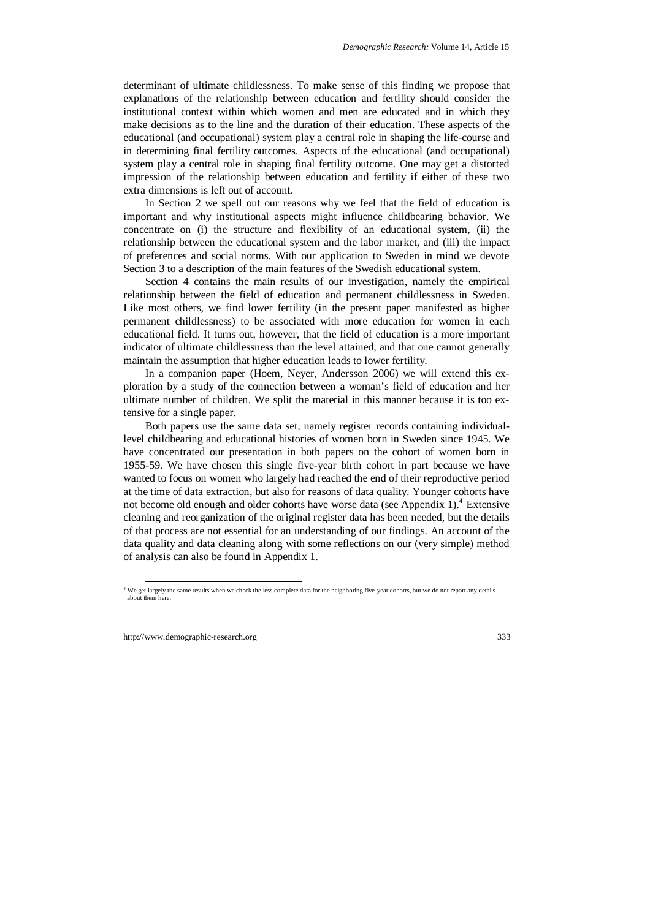determinant of ultimate childlessness. To make sense of this finding we propose that explanations of the relationship between education and fertility should consider the institutional context within which women and men are educated and in which they make decisions as to the line and the duration of their education. These aspects of the educational (and occupational) system play a central role in shaping the life-course and in determining final fertility outcomes. Aspects of the educational (and occupational) system play a central role in shaping final fertility outcome. One may get a distorted impression of the relationship between education and fertility if either of these two extra dimensions is left out of account.

In Section 2 we spell out our reasons why we feel that the field of education is important and why institutional aspects might influence childbearing behavior. We concentrate on (i) the structure and flexibility of an educational system, (ii) the relationship between the educational system and the labor market, and (iii) the impact of preferences and social norms. With our application to Sweden in mind we devote Section 3 to a description of the main features of the Swedish educational system.

Section 4 contains the main results of our investigation, namely the empirical relationship between the field of education and permanent childlessness in Sweden. Like most others, we find lower fertility (in the present paper manifested as higher permanent childlessness) to be associated with more education for women in each educational field. It turns out, however, that the field of education is a more important indicator of ultimate childlessness than the level attained, and that one cannot generally maintain the assumption that higher education leads to lower fertility.

In a companion paper (Hoem, Neyer, Andersson 2006) we will extend this exploration by a study of the connection between a woman's field of education and her ultimate number of children. We split the material in this manner because it is too extensive for a single paper.

Both papers use the same data set, namely register records containing individuallevel childbearing and educational histories of women born in Sweden since 1945. We have concentrated our presentation in both papers on the cohort of women born in 1955-59. We have chosen this single five-year birth cohort in part because we have wanted to focus on women who largely had reached the end of their reproductive period at the time of data extraction, but also for reasons of data quality. Younger cohorts have not become old enough and older cohorts have worse data (see Appendix 1).<sup>4</sup> Extensive cleaning and reorganization of the original register data has been needed, but the details of that process are not essential for an understanding of our findings. An account of the data quality and data cleaning along with some reflections on our (very simple) method of analysis can also be found in Appendix 1.

 <sup>4</sup> We get largely the same results when we check the less complete data for the neighboring five-year cohorts, but we do not report any details about them here.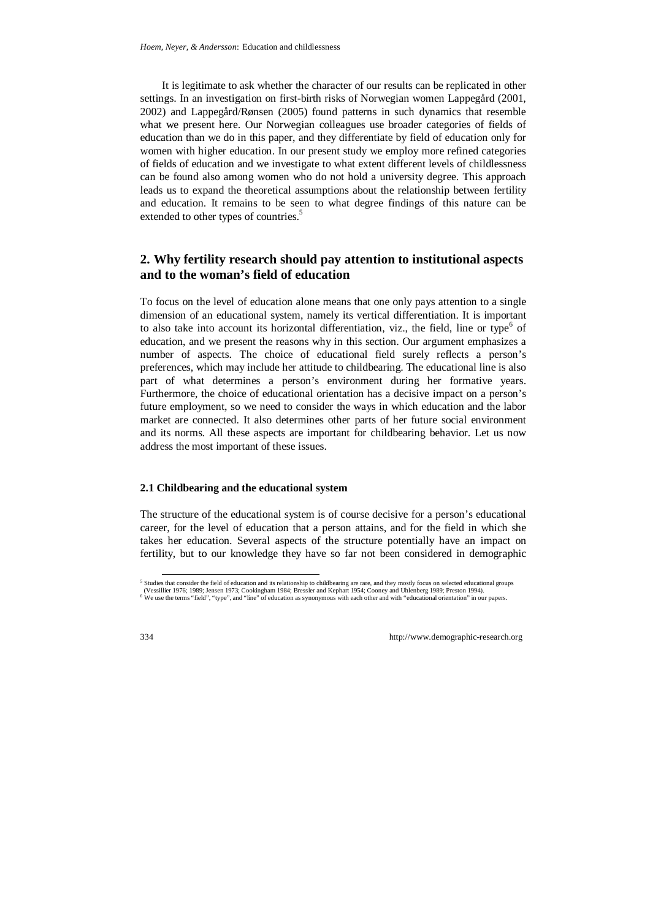It is legitimate to ask whether the character of our results can be replicated in other settings. In an investigation on first-birth risks of Norwegian women Lappegård (2001, 2002) and Lappegård/Rønsen (2005) found patterns in such dynamics that resemble what we present here. Our Norwegian colleagues use broader categories of fields of education than we do in this paper, and they differentiate by field of education only for women with higher education. In our present study we employ more refined categories of fields of education and we investigate to what extent different levels of childlessness can be found also among women who do not hold a university degree. This approach leads us to expand the theoretical assumptions about the relationship between fertility and education. It remains to be seen to what degree findings of this nature can be extended to other types of countries.<sup>5</sup>

# **2. Why fertility research should pay attention to institutional aspects and to the woman's field of education**

To focus on the level of education alone means that one only pays attention to a single dimension of an educational system, namely its vertical differentiation. It is important to also take into account its horizontal differentiation, viz., the field, line or type<sup>6</sup> of education, and we present the reasons why in this section. Our argument emphasizes a number of aspects. The choice of educational field surely reflects a person's preferences, which may include her attitude to childbearing. The educational line is also part of what determines a person's environment during her formative years. Furthermore, the choice of educational orientation has a decisive impact on a person's future employment, so we need to consider the ways in which education and the labor market are connected. It also determines other parts of her future social environment and its norms. All these aspects are important for childbearing behavior. Let us now address the most important of these issues.

#### **2.1 Childbearing and the educational system**

The structure of the educational system is of course decisive for a person's educational career, for the level of education that a person attains, and for the field in which she takes her education. Several aspects of the structure potentially have an impact on fertility, but to our knowledge they have so far not been considered in demographic

 <sup>5</sup> Studies that consider the field of education and its relationship to childbearing are rare, and they mostly focus on selected educational groups

<sup>(</sup>Vessillier 1976; 1989; Jensen 1973; Cookingham 1984; Bressler and Kephart 1954; Cooney and Uhlenberg 1989; Preston 1994).<br><sup>6</sup> We use the terms "field", "type", and "line" of education as synonymous with each other and wit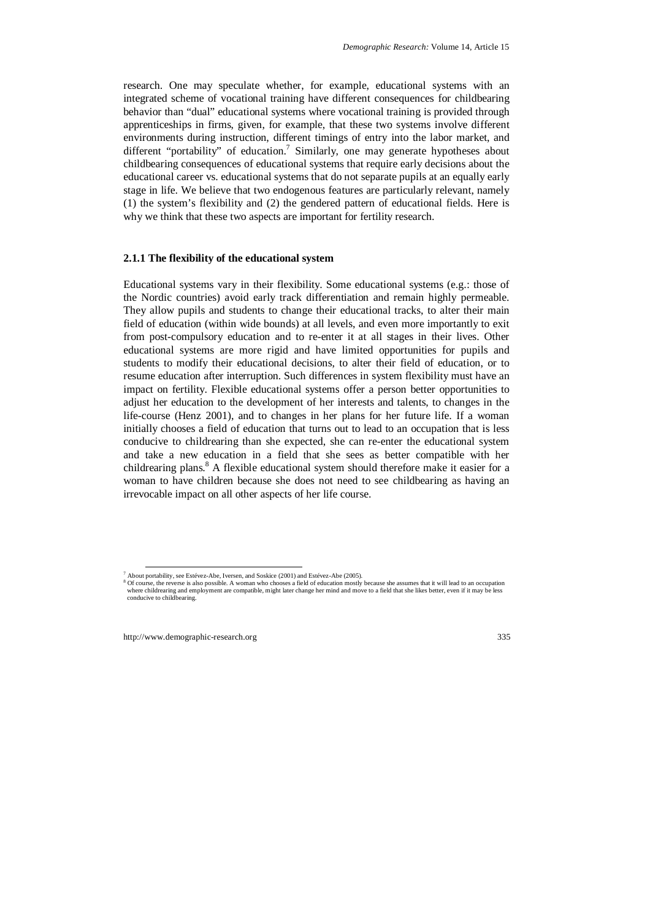research. One may speculate whether, for example, educational systems with an integrated scheme of vocational training have different consequences for childbearing behavior than "dual" educational systems where vocational training is provided through apprenticeships in firms, given, for example, that these two systems involve different environments during instruction, different timings of entry into the labor market, and different "portability" of education.<sup>7</sup> Similarly, one may generate hypotheses about childbearing consequences of educational systems that require early decisions about the educational career vs. educational systems that do not separate pupils at an equally early stage in life. We believe that two endogenous features are particularly relevant, namely (1) the system's flexibility and (2) the gendered pattern of educational fields. Here is why we think that these two aspects are important for fertility research.

#### **2.1.1 The flexibility of the educational system**

Educational systems vary in their flexibility. Some educational systems (e.g.: those of the Nordic countries) avoid early track differentiation and remain highly permeable. They allow pupils and students to change their educational tracks, to alter their main field of education (within wide bounds) at all levels, and even more importantly to exit from post-compulsory education and to re-enter it at all stages in their lives. Other educational systems are more rigid and have limited opportunities for pupils and students to modify their educational decisions, to alter their field of education, or to resume education after interruption. Such differences in system flexibility must have an impact on fertility. Flexible educational systems offer a person better opportunities to adjust her education to the development of her interests and talents, to changes in the life-course (Henz 2001), and to changes in her plans for her future life. If a woman initially chooses a field of education that turns out to lead to an occupation that is less conducive to childrearing than she expected, she can re-enter the educational system and take a new education in a field that she sees as better compatible with her childrearing plans.<sup>8</sup> A flexible educational system should therefore make it easier for a woman to have children because she does not need to see childbearing as having an irrevocable impact on all other aspects of her life course.

<sup>&</sup>lt;sup>7</sup> About portability, see Estévez-Abe, Iversen, and Soskice (2001) and Estévez-Abe (2005).

<sup>&</sup>lt;sup>7</sup> About portability, see Estévez-Abe, Iversen, and Soskice (2001) and Estévez-Abe (2005).<br><sup>8</sup> Of course, the reverse is also possible. A woman who chooses a field of education mostly because she assumes that it will lead where childrearing and employment are compatible, might later change her mind and move to a field that she likes better, even if it may be less conducive to childbearing.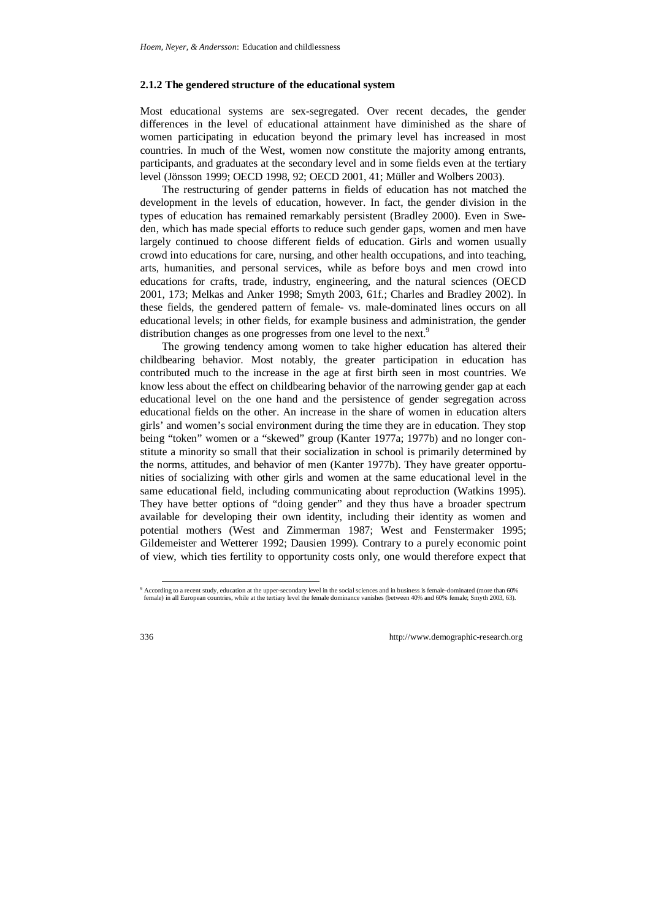#### **2.1.2 The gendered structure of the educational system**

Most educational systems are sex-segregated. Over recent decades, the gender differences in the level of educational attainment have diminished as the share of women participating in education beyond the primary level has increased in most countries. In much of the West, women now constitute the majority among entrants, participants, and graduates at the secondary level and in some fields even at the tertiary level (Jönsson 1999; OECD 1998, 92; OECD 2001, 41; Müller and Wolbers 2003).

The restructuring of gender patterns in fields of education has not matched the development in the levels of education, however. In fact, the gender division in the types of education has remained remarkably persistent (Bradley 2000). Even in Sweden, which has made special efforts to reduce such gender gaps, women and men have largely continued to choose different fields of education. Girls and women usually crowd into educations for care, nursing, and other health occupations, and into teaching, arts, humanities, and personal services, while as before boys and men crowd into educations for crafts, trade, industry, engineering, and the natural sciences (OECD 2001, 173; Melkas and Anker 1998; Smyth 2003, 61f.; Charles and Bradley 2002). In these fields, the gendered pattern of female- vs. male-dominated lines occurs on all educational levels; in other fields, for example business and administration, the gender distribution changes as one progresses from one level to the next.<sup>9</sup>

The growing tendency among women to take higher education has altered their childbearing behavior. Most notably, the greater participation in education has contributed much to the increase in the age at first birth seen in most countries. We know less about the effect on childbearing behavior of the narrowing gender gap at each educational level on the one hand and the persistence of gender segregation across educational fields on the other. An increase in the share of women in education alters girls' and women's social environment during the time they are in education. They stop being "token" women or a "skewed" group (Kanter 1977a; 1977b) and no longer constitute a minority so small that their socialization in school is primarily determined by the norms, attitudes, and behavior of men (Kanter 1977b). They have greater opportunities of socializing with other girls and women at the same educational level in the same educational field, including communicating about reproduction (Watkins 1995). They have better options of "doing gender" and they thus have a broader spectrum available for developing their own identity, including their identity as women and potential mothers (West and Zimmerman 1987; West and Fenstermaker 1995; Gildemeister and Wetterer 1992; Dausien 1999). Contrary to a purely economic point of view, which ties fertility to opportunity costs only, one would therefore expect that

 <sup>9</sup> According to a recent study, education at the upper-secondary level in the social sciences and in business is female-dominated (more than 60% female) in all European countries, while at the tertiary level the female dominance vanishes (between 40% and 60% female; Smyth 2003, 63).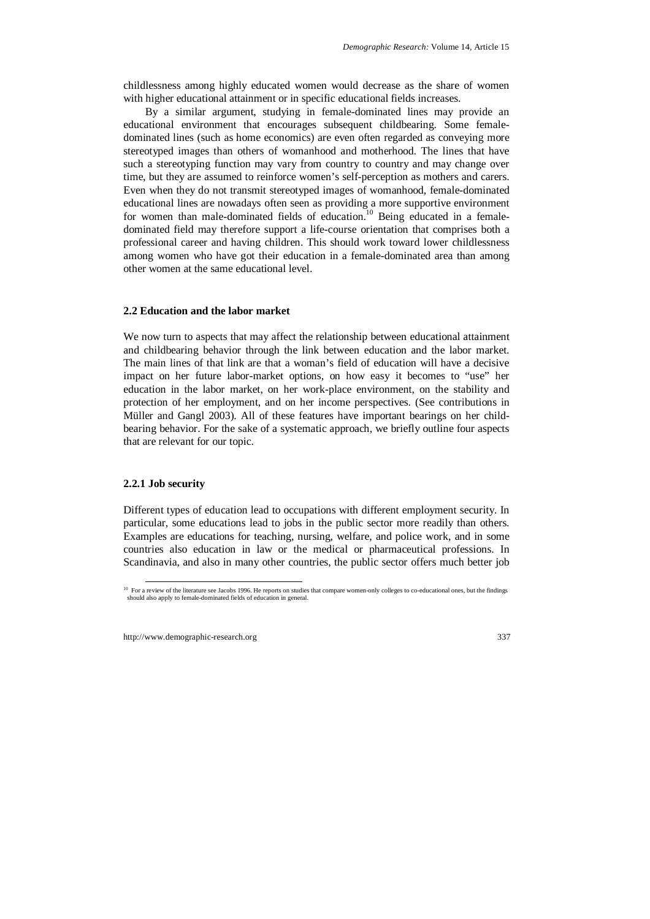childlessness among highly educated women would decrease as the share of women with higher educational attainment or in specific educational fields increases.

By a similar argument, studying in female-dominated lines may provide an educational environment that encourages subsequent childbearing. Some femaledominated lines (such as home economics) are even often regarded as conveying more stereotyped images than others of womanhood and motherhood. The lines that have such a stereotyping function may vary from country to country and may change over time, but they are assumed to reinforce women's self-perception as mothers and carers. Even when they do not transmit stereotyped images of womanhood, female-dominated educational lines are nowadays often seen as providing a more supportive environment for women than male-dominated fields of education.<sup>10</sup> Being educated in a femaledominated field may therefore support a life-course orientation that comprises both a professional career and having children. This should work toward lower childlessness among women who have got their education in a female-dominated area than among other women at the same educational level.

#### **2.2 Education and the labor market**

We now turn to aspects that may affect the relationship between educational attainment and childbearing behavior through the link between education and the labor market. The main lines of that link are that a woman's field of education will have a decisive impact on her future labor-market options, on how easy it becomes to "use" her education in the labor market, on her work-place environment, on the stability and protection of her employment, and on her income perspectives. (See contributions in Müller and Gangl 2003). All of these features have important bearings on her childbearing behavior. For the sake of a systematic approach, we briefly outline four aspects that are relevant for our topic.

#### **2.2.1 Job security**

Different types of education lead to occupations with different employment security. In particular, some educations lead to jobs in the public sector more readily than others. Examples are educations for teaching, nursing, welfare, and police work, and in some countries also education in law or the medical or pharmaceutical professions. In Scandinavia, and also in many other countries, the public sector offers much better job

<sup>&</sup>lt;sup>10</sup> For a review of the literature see Jacobs 1996. He reports on studies that compare women-only colleges to co-educational ones, but the findings should also apply to female-dominated fields of education in general.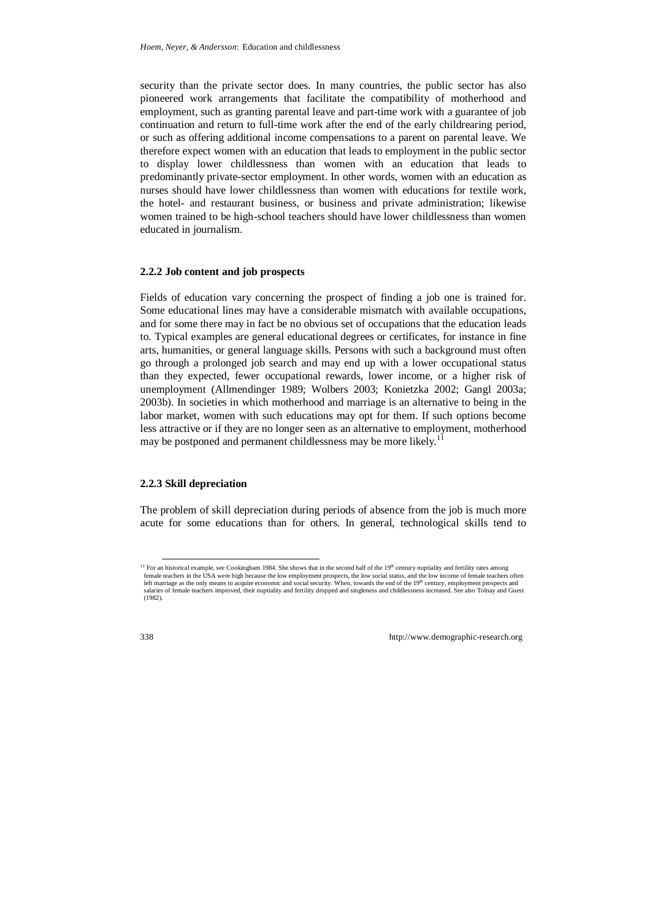security than the private sector does. In many countries, the public sector has also pioneered work arrangements that facilitate the compatibility of motherhood and employment, such as granting parental leave and part-time work with a guarantee of job continuation and return to full-time work after the end of the early childrearing period, or such as offering additional income compensations to a parent on parental leave. We therefore expect women with an education that leads to employment in the public sector to display lower childlessness than women with an education that leads to predominantly private-sector employment. In other words, women with an education as nurses should have lower childlessness than women with educations for textile work, the hotel- and restaurant business, or business and private administration; likewise women trained to be high-school teachers should have lower childlessness than women educated in journalism.

#### **2.2.2 Job content and job prospects**

Fields of education vary concerning the prospect of finding a job one is trained for. Some educational lines may have a considerable mismatch with available occupations, and for some there may in fact be no obvious set of occupations that the education leads to. Typical examples are general educational degrees or certificates, for instance in fine arts, humanities, or general language skills. Persons with such a background must often go through a prolonged job search and may end up with a lower occupational status than they expected, fewer occupational rewards, lower income, or a higher risk of unemployment (Allmendinger 1989; Wolbers 2003; Konietzka 2002; Gangl 2003a; 2003b). In societies in which motherhood and marriage is an alternative to being in the labor market, women with such educations may opt for them. If such options become less attractive or if they are no longer seen as an alternative to employment, motherhood may be postponed and permanent childlessness may be more likely.<sup>11</sup>

#### **2.2.3 Skill depreciation**

The problem of skill depreciation during periods of absence from the job is much more acute for some educations than for others. In general, technological skills tend to

 $11$  For an historical example, see Cookingham 1984. She shows that in the second half of the 19<sup>th</sup> century nuptiality and fertility rates among female teachers in the USA were high because the low employment prospects, the low social status, and the low income of female teachers often left marriage as the only means to acquire economic and social security. When, towards the end of the 19<sup>th</sup> century, employment prospects and salaries of female teachers improved, their nuptiality and fertility dropped and singleness and childlessness increased. See also Tolnay and Guest (1982).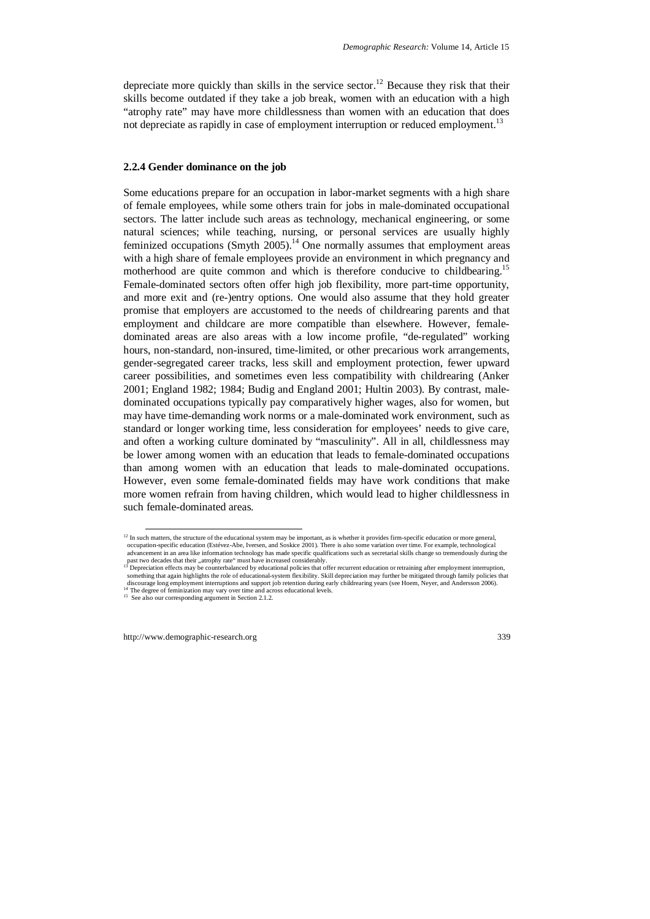depreciate more quickly than skills in the service sector.<sup>12</sup> Because they risk that their skills become outdated if they take a job break, women with an education with a high "atrophy rate" may have more childlessness than women with an education that does not depreciate as rapidly in case of employment interruption or reduced employment.<sup>13</sup>

#### **2.2.4 Gender dominance on the job**

Some educations prepare for an occupation in labor-market segments with a high share of female employees, while some others train for jobs in male-dominated occupational sectors. The latter include such areas as technology, mechanical engineering, or some natural sciences; while teaching, nursing, or personal services are usually highly feminized occupations (Smyth 2005).<sup>14</sup> One normally assumes that employment areas with a high share of female employees provide an environment in which pregnancy and motherhood are quite common and which is therefore conducive to childbearing.<sup>15</sup> Female-dominated sectors often offer high job flexibility, more part-time opportunity, and more exit and (re-)entry options. One would also assume that they hold greater promise that employers are accustomed to the needs of childrearing parents and that employment and childcare are more compatible than elsewhere. However, femaledominated areas are also areas with a low income profile, "de-regulated" working hours, non-standard, non-insured, time-limited, or other precarious work arrangements, gender-segregated career tracks, less skill and employment protection, fewer upward career possibilities, and sometimes even less compatibility with childrearing (Anker 2001; England 1982; 1984; Budig and England 2001; Hultin 2003). By contrast, maledominated occupations typically pay comparatively higher wages, also for women, but may have time-demanding work norms or a male-dominated work environment, such as standard or longer working time, less consideration for employees' needs to give care, and often a working culture dominated by "masculinity". All in all, childlessness may be lower among women with an education that leads to female-dominated occupations than among women with an education that leads to male-dominated occupations. However, even some female-dominated fields may have work conditions that make more women refrain from having children, which would lead to higher childlessness in such female-dominated areas.

 $12$  In such matters, the structure of the educational system may be important, as is whether it provides firm-specific education or more general, occupation-specific education (Estévez-Abe, Iversen, and Soskice 2001). There is also some variation over time. For example, technological advancement in an area like information technology has made specific qualifications such as secretarial skills change so tremendously during the past two decades that their "atrophy rate" must have increased considerably.<br><sup>13</sup> Depreciation effects may be counterbalanced by educational policies that offer recurrent education or retraining after employment interrupt

something that again highlights the role of educational-system flexibility. Skill depreciation may further be mitigated through family policies that discourage long employment interruptions and support job retention during early childrearing years (see Hoem, Neyer, and Andersson 2006). <sup>14</sup> The degree of feminization may vary over time and across educational levels.

<sup>15</sup> See also our corresponding argument in Section 2.1.2.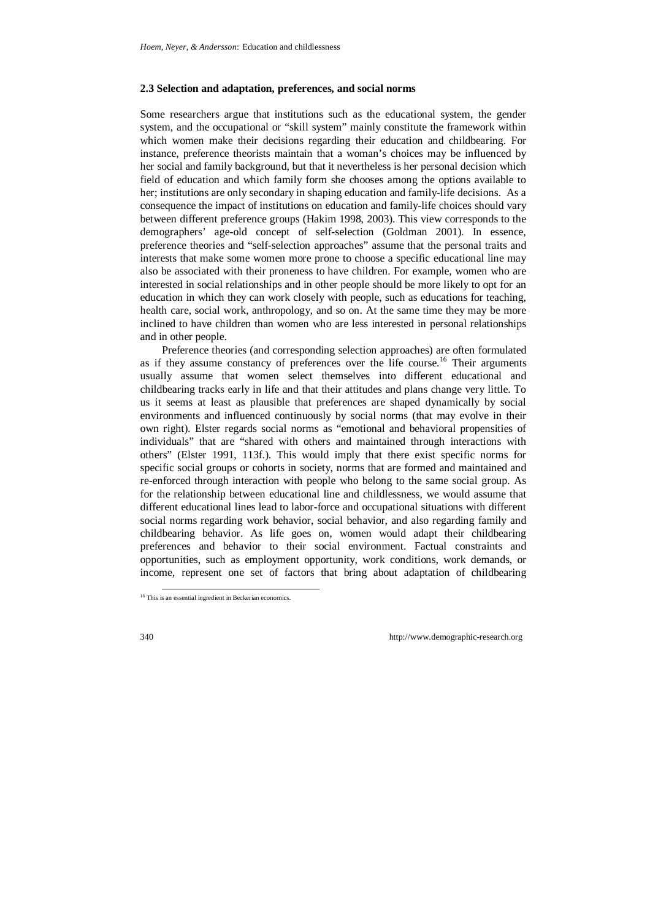#### **2.3 Selection and adaptation, preferences, and social norms**

Some researchers argue that institutions such as the educational system, the gender system, and the occupational or "skill system" mainly constitute the framework within which women make their decisions regarding their education and childbearing. For instance, preference theorists maintain that a woman's choices may be influenced by her social and family background, but that it nevertheless is her personal decision which field of education and which family form she chooses among the options available to her; institutions are only secondary in shaping education and family-life decisions. As a consequence the impact of institutions on education and family-life choices should vary between different preference groups (Hakim 1998, 2003). This view corresponds to the demographers' age-old concept of self-selection (Goldman 2001). In essence, preference theories and "self-selection approaches" assume that the personal traits and interests that make some women more prone to choose a specific educational line may also be associated with their proneness to have children. For example, women who are interested in social relationships and in other people should be more likely to opt for an education in which they can work closely with people, such as educations for teaching, health care, social work, anthropology, and so on. At the same time they may be more inclined to have children than women who are less interested in personal relationships and in other people.

Preference theories (and corresponding selection approaches) are often formulated as if they assume constancy of preferences over the life course.<sup>16</sup> Their arguments usually assume that women select themselves into different educational and childbearing tracks early in life and that their attitudes and plans change very little. To us it seems at least as plausible that preferences are shaped dynamically by social environments and influenced continuously by social norms (that may evolve in their own right). Elster regards social norms as "emotional and behavioral propensities of individuals" that are "shared with others and maintained through interactions with others" (Elster 1991, 113f.). This would imply that there exist specific norms for specific social groups or cohorts in society, norms that are formed and maintained and re-enforced through interaction with people who belong to the same social group. As for the relationship between educational line and childlessness, we would assume that different educational lines lead to labor-force and occupational situations with different social norms regarding work behavior, social behavior, and also regarding family and childbearing behavior. As life goes on, women would adapt their childbearing preferences and behavior to their social environment. Factual constraints and opportunities, such as employment opportunity, work conditions, work demands, or income, represent one set of factors that bring about adaptation of childbearing

 <sup>16</sup> This is an essential ingredient in Beckerian economics.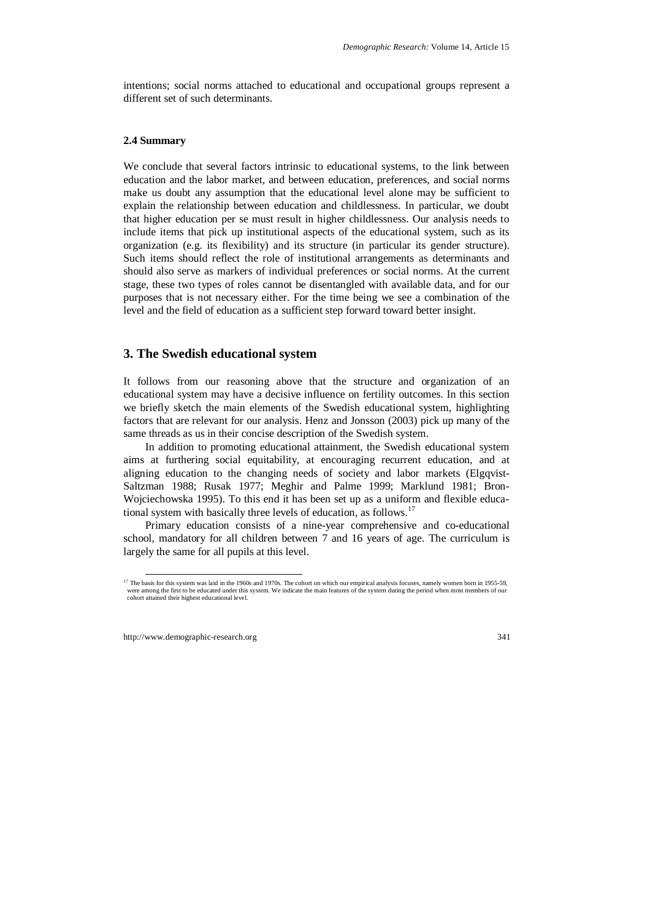intentions; social norms attached to educational and occupational groups represent a different set of such determinants.

#### **2.4 Summary**

We conclude that several factors intrinsic to educational systems, to the link between education and the labor market, and between education, preferences, and social norms make us doubt any assumption that the educational level alone may be sufficient to explain the relationship between education and childlessness. In particular, we doubt that higher education per se must result in higher childlessness. Our analysis needs to include items that pick up institutional aspects of the educational system, such as its organization (e.g. its flexibility) and its structure (in particular its gender structure). Such items should reflect the role of institutional arrangements as determinants and should also serve as markers of individual preferences or social norms. At the current stage, these two types of roles cannot be disentangled with available data, and for our purposes that is not necessary either. For the time being we see a combination of the level and the field of education as a sufficient step forward toward better insight.

## **3. The Swedish educational system**

It follows from our reasoning above that the structure and organization of an educational system may have a decisive influence on fertility outcomes. In this section we briefly sketch the main elements of the Swedish educational system, highlighting factors that are relevant for our analysis. Henz and Jonsson (2003) pick up many of the same threads as us in their concise description of the Swedish system.

In addition to promoting educational attainment, the Swedish educational system aims at furthering social equitability, at encouraging recurrent education, and at aligning education to the changing needs of society and labor markets (Elgqvist-Saltzman 1988; Rusak 1977; Meghir and Palme 1999; Marklund 1981; Bron-Wojciechowska 1995). To this end it has been set up as a uniform and flexible educational system with basically three levels of education, as follows.<sup>17</sup>

Primary education consists of a nine-year comprehensive and co-educational school, mandatory for all children between 7 and 16 years of age. The curriculum is largely the same for all pupils at this level.

<sup>&</sup>lt;sup>17</sup> The basis for this system was laid in the 1960s and 1970s. The cohort on which our empirical analysis focuses, namely women born in 1955-59, were among the first to be educated under this system. We indicate the main features of the system during the period when most members of our cohort attained their highest educational level.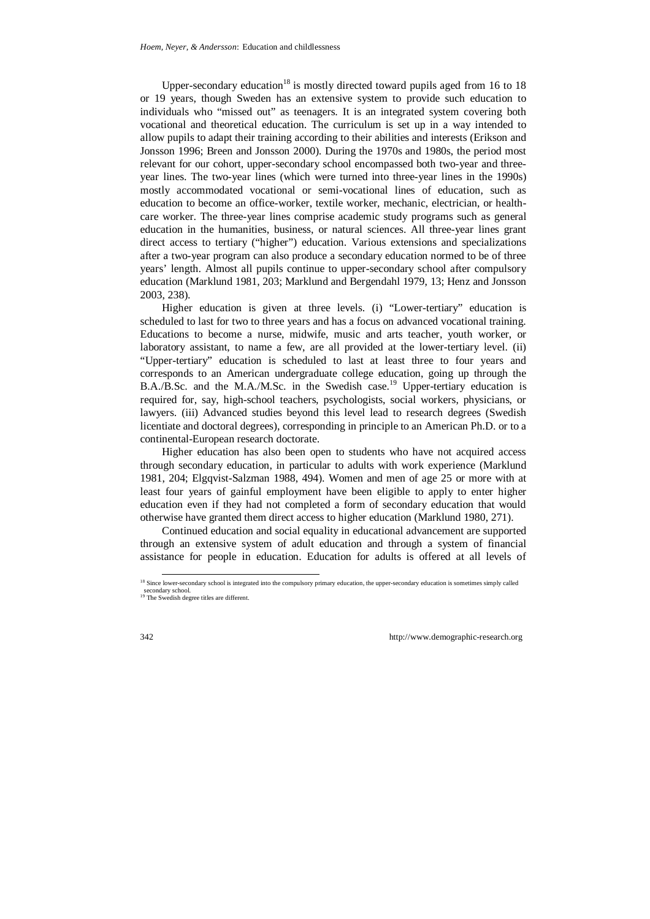Upper-secondary education<sup>18</sup> is mostly directed toward pupils aged from 16 to 18 or 19 years, though Sweden has an extensive system to provide such education to individuals who "missed out" as teenagers. It is an integrated system covering both vocational and theoretical education. The curriculum is set up in a way intended to allow pupils to adapt their training according to their abilities and interests (Erikson and Jonsson 1996; Breen and Jonsson 2000). During the 1970s and 1980s, the period most relevant for our cohort, upper-secondary school encompassed both two-year and threeyear lines. The two-year lines (which were turned into three-year lines in the 1990s) mostly accommodated vocational or semi-vocational lines of education, such as education to become an office-worker, textile worker, mechanic, electrician, or healthcare worker. The three-year lines comprise academic study programs such as general education in the humanities, business, or natural sciences. All three-year lines grant direct access to tertiary ("higher") education. Various extensions and specializations after a two-year program can also produce a secondary education normed to be of three years' length. Almost all pupils continue to upper-secondary school after compulsory education (Marklund 1981, 203; Marklund and Bergendahl 1979, 13; Henz and Jonsson 2003, 238).

Higher education is given at three levels. (i) "Lower-tertiary" education is scheduled to last for two to three years and has a focus on advanced vocational training. Educations to become a nurse, midwife, music and arts teacher, youth worker, or laboratory assistant, to name a few, are all provided at the lower-tertiary level. (ii) "Upper-tertiary" education is scheduled to last at least three to four years and corresponds to an American undergraduate college education, going up through the B.A./B.Sc. and the M.A./M.Sc. in the Swedish case.<sup>19</sup> Upper-tertiary education is required for, say, high-school teachers, psychologists, social workers, physicians, or lawyers. (iii) Advanced studies beyond this level lead to research degrees (Swedish licentiate and doctoral degrees), corresponding in principle to an American Ph.D. or to a continental-European research doctorate.

Higher education has also been open to students who have not acquired access through secondary education, in particular to adults with work experience (Marklund 1981, 204; Elgqvist-Salzman 1988, 494). Women and men of age 25 or more with at least four years of gainful employment have been eligible to apply to enter higher education even if they had not completed a form of secondary education that would otherwise have granted them direct access to higher education (Marklund 1980, 271).

Continued education and social equality in educational advancement are supported through an extensive system of adult education and through a system of financial assistance for people in education. Education for adults is offered at all levels of

<sup>&</sup>lt;sup>18</sup> Since lower-secondary school is integrated into the compulsory primary education, the upper-secondary education is sometimes simply called secondary school.

<sup>&</sup>lt;sup>19</sup> The Swedish degree titles are different.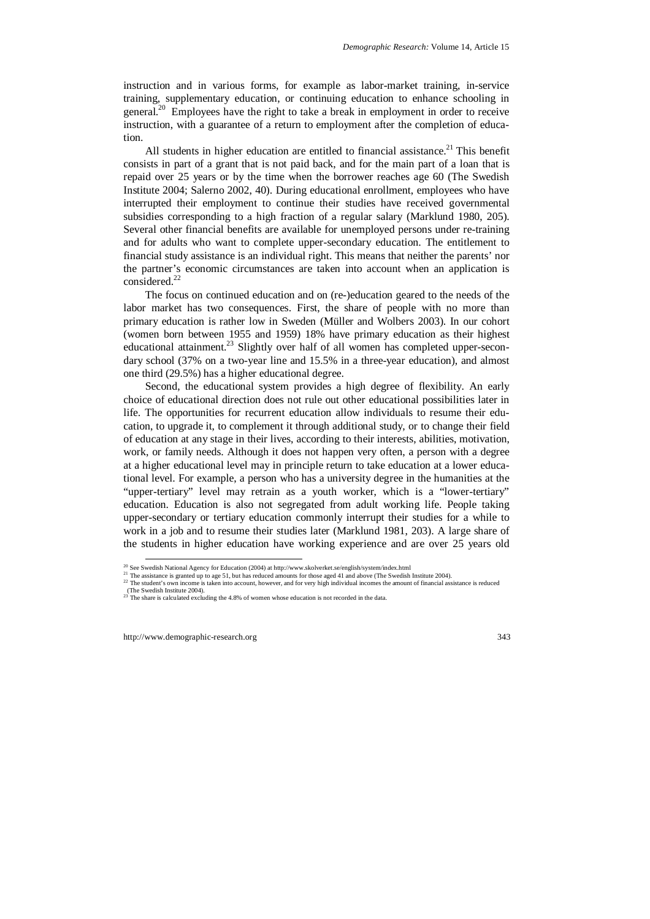instruction and in various forms, for example as labor-market training, in-service training, supplementary education, or continuing education to enhance schooling in general.<sup>20</sup> Employees have the right to take a break in employment in order to receive instruction, with a guarantee of a return to employment after the completion of education.

All students in higher education are entitled to financial assistance.<sup>21</sup> This benefit consists in part of a grant that is not paid back, and for the main part of a loan that is repaid over 25 years or by the time when the borrower reaches age 60 (The Swedish Institute 2004; Salerno 2002, 40). During educational enrollment, employees who have interrupted their employment to continue their studies have received governmental subsidies corresponding to a high fraction of a regular salary (Marklund 1980, 205). Several other financial benefits are available for unemployed persons under re-training and for adults who want to complete upper-secondary education. The entitlement to financial study assistance is an individual right. This means that neither the parents' nor the partner's economic circumstances are taken into account when an application is  $\cos$ idered.<sup>22</sup>

The focus on continued education and on (re-)education geared to the needs of the labor market has two consequences. First, the share of people with no more than primary education is rather low in Sweden (Müller and Wolbers 2003). In our cohort (women born between 1955 and 1959) 18% have primary education as their highest educational attainment.<sup>23</sup> Slightly over half of all women has completed upper-secondary school (37% on a two-year line and 15.5% in a three-year education), and almost one third (29.5%) has a higher educational degree.

Second, the educational system provides a high degree of flexibility. An early choice of educational direction does not rule out other educational possibilities later in life. The opportunities for recurrent education allow individuals to resume their education, to upgrade it, to complement it through additional study, or to change their field of education at any stage in their lives, according to their interests, abilities, motivation, work, or family needs. Although it does not happen very often, a person with a degree at a higher educational level may in principle return to take education at a lower educational level. For example, a person who has a university degree in the humanities at the "upper-tertiary" level may retrain as a youth worker, which is a "lower-tertiary" education. Education is also not segregated from adult working life. People taking upper-secondary or tertiary education commonly interrupt their studies for a while to work in a job and to resume their studies later (Marklund 1981, 203). A large share of the students in higher education have working experience and are over 25 years old

<sup>&</sup>lt;sup>20</sup> See Swedish National Agency for Education (2004) at http://www.skolverket.se/english/system/index.html

<sup>&</sup>lt;sup>21</sup> The assistance is granted up to age 51, but has reduced amounts for those aged 41 and above (The Swedish Institute 2004).

<sup>&</sup>lt;sup>22</sup> The student's own income is taken into account, however, and for very high individual incomes the amount of financial assistance is reduced (The Swedish Institute 2004).

<sup>&</sup>lt;sup>23</sup> The share is calculated excluding the 4.8% of women whose education is not recorded in the data.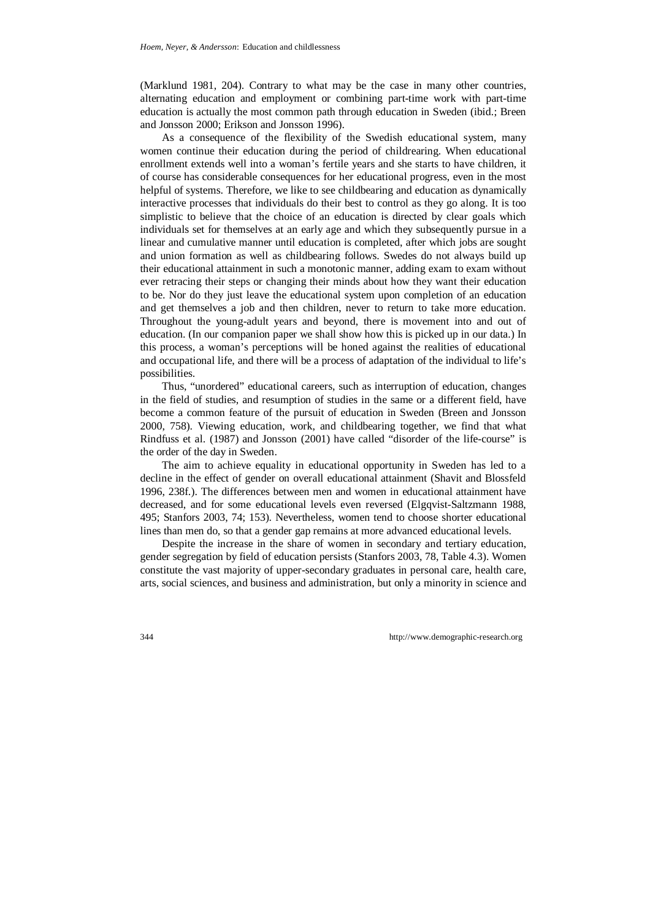(Marklund 1981, 204). Contrary to what may be the case in many other countries, alternating education and employment or combining part-time work with part-time education is actually the most common path through education in Sweden (ibid.; Breen and Jonsson 2000; Erikson and Jonsson 1996).

As a consequence of the flexibility of the Swedish educational system, many women continue their education during the period of childrearing. When educational enrollment extends well into a woman's fertile years and she starts to have children, it of course has considerable consequences for her educational progress, even in the most helpful of systems. Therefore, we like to see childbearing and education as dynamically interactive processes that individuals do their best to control as they go along. It is too simplistic to believe that the choice of an education is directed by clear goals which individuals set for themselves at an early age and which they subsequently pursue in a linear and cumulative manner until education is completed, after which jobs are sought and union formation as well as childbearing follows. Swedes do not always build up their educational attainment in such a monotonic manner, adding exam to exam without ever retracing their steps or changing their minds about how they want their education to be. Nor do they just leave the educational system upon completion of an education and get themselves a job and then children, never to return to take more education. Throughout the young-adult years and beyond, there is movement into and out of education. (In our companion paper we shall show how this is picked up in our data.) In this process, a woman's perceptions will be honed against the realities of educational and occupational life, and there will be a process of adaptation of the individual to life's possibilities.

Thus, "unordered" educational careers, such as interruption of education, changes in the field of studies, and resumption of studies in the same or a different field, have become a common feature of the pursuit of education in Sweden (Breen and Jonsson 2000, 758). Viewing education, work, and childbearing together, we find that what Rindfuss et al. (1987) and Jonsson (2001) have called "disorder of the life-course" is the order of the day in Sweden.

The aim to achieve equality in educational opportunity in Sweden has led to a decline in the effect of gender on overall educational attainment (Shavit and Blossfeld 1996, 238f.). The differences between men and women in educational attainment have decreased, and for some educational levels even reversed (Elgqvist-Saltzmann 1988, 495; Stanfors 2003, 74; 153). Nevertheless, women tend to choose shorter educational lines than men do, so that a gender gap remains at more advanced educational levels.

Despite the increase in the share of women in secondary and tertiary education, gender segregation by field of education persists (Stanfors 2003, 78, Table 4.3). Women constitute the vast majority of upper-secondary graduates in personal care, health care, arts, social sciences, and business and administration, but only a minority in science and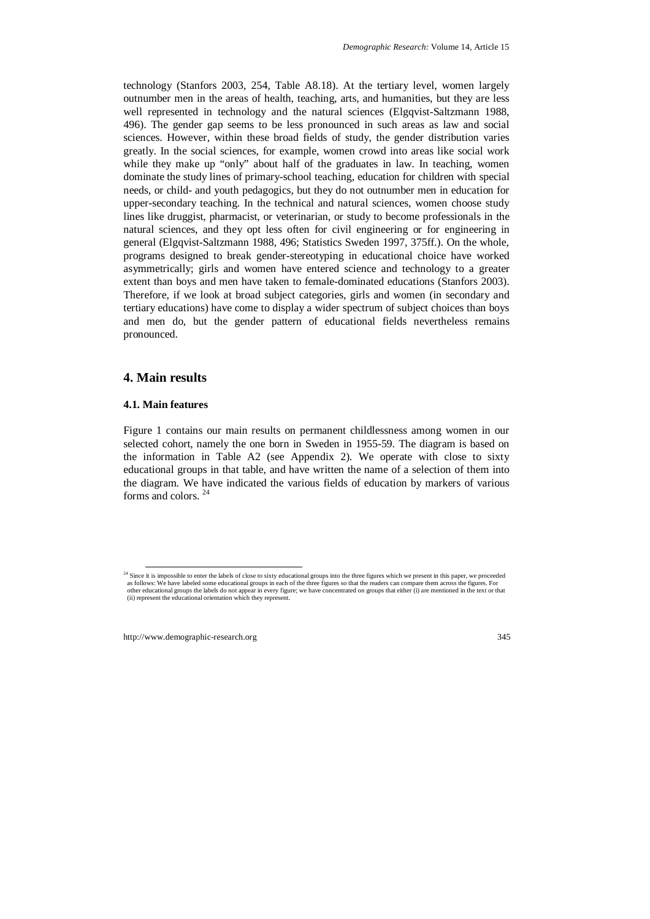technology (Stanfors 2003, 254, Table A8.18). At the tertiary level, women largely outnumber men in the areas of health, teaching, arts, and humanities, but they are less well represented in technology and the natural sciences (Elgqvist-Saltzmann 1988, 496). The gender gap seems to be less pronounced in such areas as law and social sciences. However, within these broad fields of study, the gender distribution varies greatly. In the social sciences, for example, women crowd into areas like social work while they make up "only" about half of the graduates in law. In teaching, women dominate the study lines of primary-school teaching, education for children with special needs, or child- and youth pedagogics, but they do not outnumber men in education for upper-secondary teaching. In the technical and natural sciences, women choose study lines like druggist, pharmacist, or veterinarian, or study to become professionals in the natural sciences, and they opt less often for civil engineering or for engineering in general (Elgqvist-Saltzmann 1988, 496; Statistics Sweden 1997, 375ff.). On the whole, programs designed to break gender-stereotyping in educational choice have worked asymmetrically; girls and women have entered science and technology to a greater extent than boys and men have taken to female-dominated educations (Stanfors 2003). Therefore, if we look at broad subject categories, girls and women (in secondary and tertiary educations) have come to display a wider spectrum of subject choices than boys and men do, but the gender pattern of educational fields nevertheless remains pronounced.

## **4. Main results**

## **4.1. Main features**

Figure 1 contains our main results on permanent childlessness among women in our selected cohort, namely the one born in Sweden in 1955-59. The diagram is based on the information in Table A2 (see Appendix 2). We operate with close to sixty educational groups in that table, and have written the name of a selection of them into the diagram. We have indicated the various fields of education by markers of various forms and colors. 24

<sup>&</sup>lt;sup>24</sup> Since it is impossible to enter the labels of close to sixty educational groups into the three figures which we present in this paper, we proceeded as follows: We have labeled some educational groups in each of the three figures so that the readers can compare them across the figures. For other educational groups the labels do not appear in every figure; we have concentrated on groups that either (i) are mentioned in the text or that (ii) represent the educational orientation which they represent.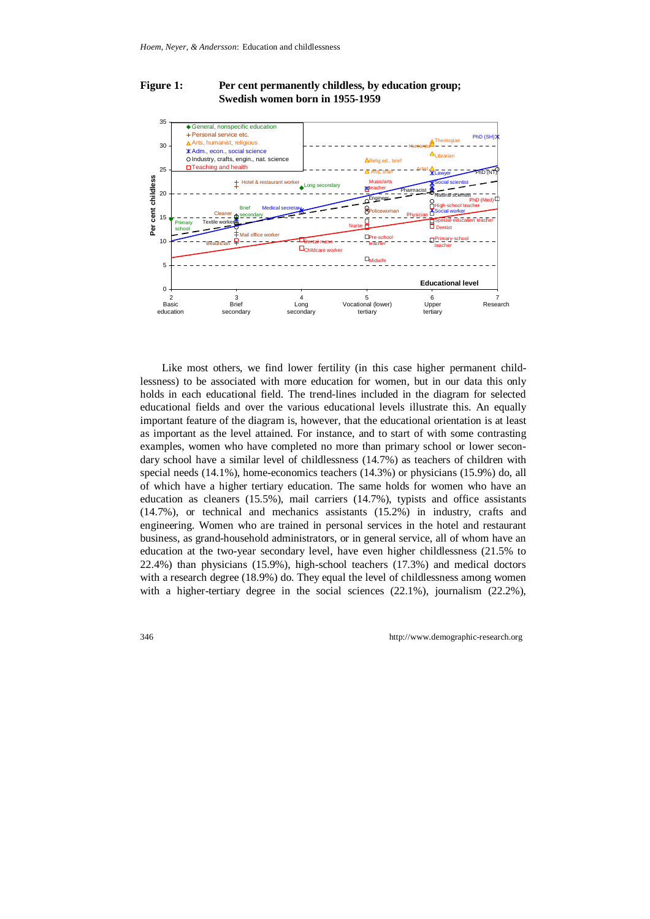## Figure 1: Per cent permanently childless, by education group;  **Swedish women born in 1955-1959**



Like most others, we find lower fertility (in this case higher permanent childlessness) to be associated with more education for women, but in our data this only holds in each educational field. The trend-lines included in the diagram for selected educational fields and over the various educational levels illustrate this. An equally important feature of the diagram is, however, that the educational orientation is at least as important as the level attained. For instance, and to start of with some contrasting examples, women who have completed no more than primary school or lower secondary school have a similar level of childlessness (14.7%) as teachers of children with special needs (14.1%), home-economics teachers (14.3%) or physicians (15.9%) do, all of which have a higher tertiary education. The same holds for women who have an education as cleaners (15.5%), mail carriers (14.7%), typists and office assistants (14.7%), or technical and mechanics assistants (15.2%) in industry, crafts and engineering. Women who are trained in personal services in the hotel and restaurant business, as grand-household administrators, or in general service, all of whom have an education at the two-year secondary level, have even higher childlessness (21.5% to 22.4%) than physicians (15.9%), high-school teachers (17.3%) and medical doctors with a research degree (18.9%) do. They equal the level of childlessness among women with a higher-tertiary degree in the social sciences  $(22.1\%)$ , journalism  $(22.2\%)$ ,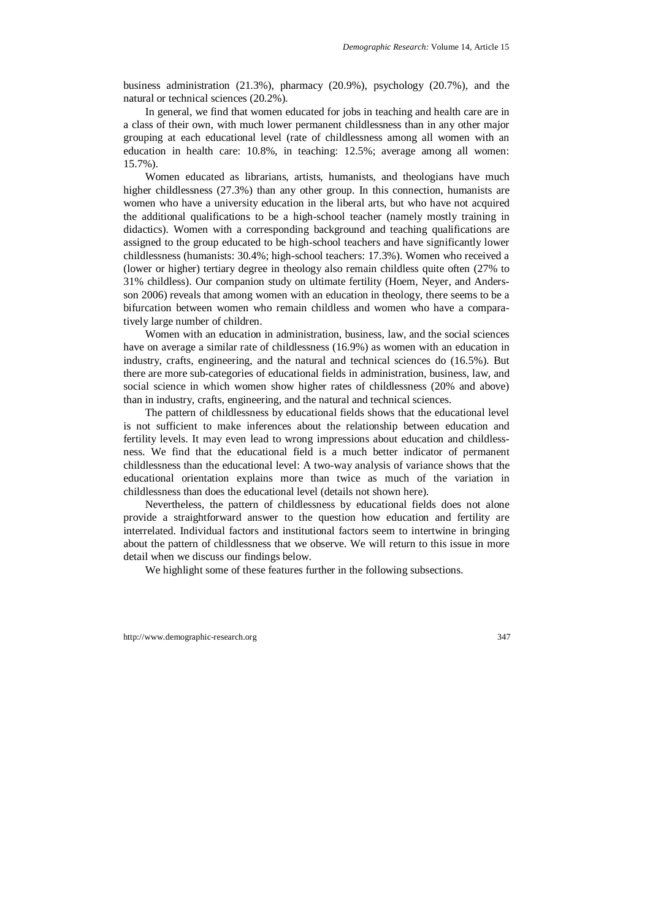business administration (21.3%), pharmacy (20.9%), psychology (20.7%), and the natural or technical sciences (20.2%).

In general, we find that women educated for jobs in teaching and health care are in a class of their own, with much lower permanent childlessness than in any other major grouping at each educational level (rate of childlessness among all women with an education in health care: 10.8%, in teaching: 12.5%; average among all women: 15.7%).

Women educated as librarians, artists, humanists, and theologians have much higher childlessness (27.3%) than any other group. In this connection, humanists are women who have a university education in the liberal arts, but who have not acquired the additional qualifications to be a high-school teacher (namely mostly training in didactics). Women with a corresponding background and teaching qualifications are assigned to the group educated to be high-school teachers and have significantly lower childlessness (humanists: 30.4%; high-school teachers: 17.3%). Women who received a (lower or higher) tertiary degree in theology also remain childless quite often (27% to 31% childless). Our companion study on ultimate fertility (Hoem, Neyer, and Andersson 2006) reveals that among women with an education in theology, there seems to be a bifurcation between women who remain childless and women who have a comparatively large number of children.

Women with an education in administration, business, law, and the social sciences have on average a similar rate of childlessness (16.9%) as women with an education in industry, crafts, engineering, and the natural and technical sciences do (16.5%). But there are more sub-categories of educational fields in administration, business, law, and social science in which women show higher rates of childlessness (20% and above) than in industry, crafts, engineering, and the natural and technical sciences.

The pattern of childlessness by educational fields shows that the educational level is not sufficient to make inferences about the relationship between education and fertility levels. It may even lead to wrong impressions about education and childlessness. We find that the educational field is a much better indicator of permanent childlessness than the educational level: A two-way analysis of variance shows that the educational orientation explains more than twice as much of the variation in childlessness than does the educational level (details not shown here).

Nevertheless, the pattern of childlessness by educational fields does not alone provide a straightforward answer to the question how education and fertility are interrelated. Individual factors and institutional factors seem to intertwine in bringing about the pattern of childlessness that we observe. We will return to this issue in more detail when we discuss our findings below.

We highlight some of these features further in the following subsections.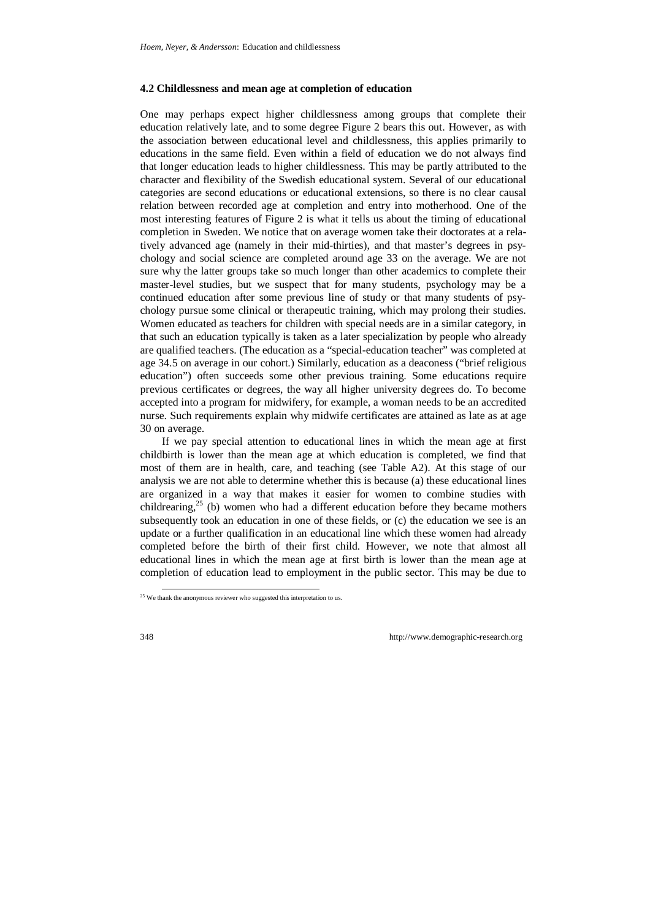#### **4.2 Childlessness and mean age at completion of education**

One may perhaps expect higher childlessness among groups that complete their education relatively late, and to some degree Figure 2 bears this out. However, as with the association between educational level and childlessness, this applies primarily to educations in the same field. Even within a field of education we do not always find that longer education leads to higher childlessness. This may be partly attributed to the character and flexibility of the Swedish educational system. Several of our educational categories are second educations or educational extensions, so there is no clear causal relation between recorded age at completion and entry into motherhood. One of the most interesting features of Figure 2 is what it tells us about the timing of educational completion in Sweden. We notice that on average women take their doctorates at a relatively advanced age (namely in their mid-thirties), and that master's degrees in psychology and social science are completed around age 33 on the average. We are not sure why the latter groups take so much longer than other academics to complete their master-level studies, but we suspect that for many students, psychology may be a continued education after some previous line of study or that many students of psychology pursue some clinical or therapeutic training, which may prolong their studies. Women educated as teachers for children with special needs are in a similar category, in that such an education typically is taken as a later specialization by people who already are qualified teachers. (The education as a "special-education teacher" was completed at age 34.5 on average in our cohort.) Similarly, education as a deaconess ("brief religious education") often succeeds some other previous training. Some educations require previous certificates or degrees, the way all higher university degrees do. To become accepted into a program for midwifery, for example, a woman needs to be an accredited nurse. Such requirements explain why midwife certificates are attained as late as at age 30 on average.

If we pay special attention to educational lines in which the mean age at first childbirth is lower than the mean age at which education is completed, we find that most of them are in health, care, and teaching (see Table A2). At this stage of our analysis we are not able to determine whether this is because (a) these educational lines are organized in a way that makes it easier for women to combine studies with childrearing, $25$  (b) women who had a different education before they became mothers subsequently took an education in one of these fields, or (c) the education we see is an update or a further qualification in an educational line which these women had already completed before the birth of their first child. However, we note that almost all educational lines in which the mean age at first birth is lower than the mean age at completion of education lead to employment in the public sector. This may be due to

<sup>&</sup>lt;sup>25</sup> We thank the anonymous reviewer who suggested this interpretation to us.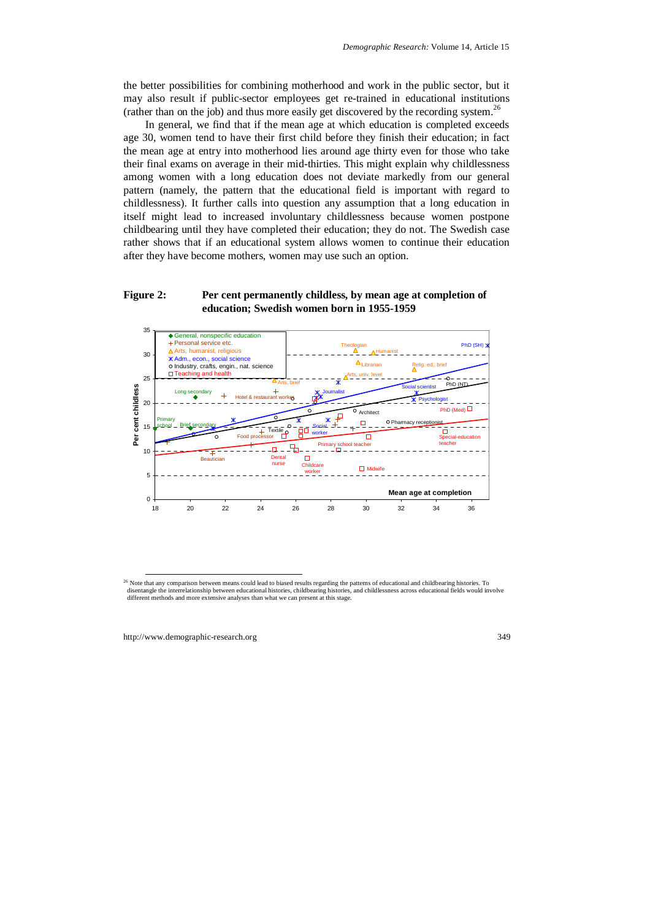the better possibilities for combining motherhood and work in the public sector, but it may also result if public-sector employees get re-trained in educational institutions (rather than on the job) and thus more easily get discovered by the recording system.<sup>26</sup>

In general, we find that if the mean age at which education is completed exceeds age 30, women tend to have their first child before they finish their education; in fact the mean age at entry into motherhood lies around age thirty even for those who take their final exams on average in their mid-thirties. This might explain why childlessness among women with a long education does not deviate markedly from our general pattern (namely, the pattern that the educational field is important with regard to childlessness). It further calls into question any assumption that a long education in itself might lead to increased involuntary childlessness because women postpone childbearing until they have completed their education; they do not. The Swedish case rather shows that if an educational system allows women to continue their education after they have become mothers, women may use such an option.

## **Figure 2: Per cent permanently childless, by mean age at completion of education; Swedish women born in 1955-1959**



<sup>&</sup>lt;sup>26</sup> Note that any comparison between means could lead to biased results regarding the patterns of educational and childbearing histories. To disentangle the interrelationship between educational histories, childbearing histories, and childlessness across educational fields would involve different methods and more extensive analyses than what we can present at this stage.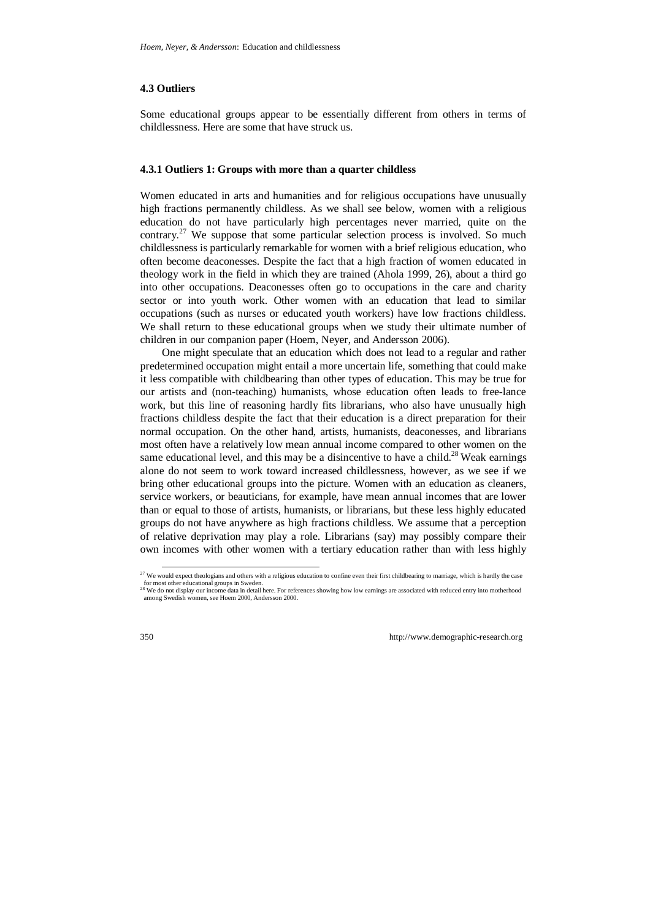#### **4.3 Outliers**

Some educational groups appear to be essentially different from others in terms of childlessness. Here are some that have struck us.

#### **4.3.1 Outliers 1: Groups with more than a quarter childless**

Women educated in arts and humanities and for religious occupations have unusually high fractions permanently childless. As we shall see below, women with a religious education do not have particularly high percentages never married, quite on the contrary.27 We suppose that some particular selection process is involved. So much childlessness is particularly remarkable for women with a brief religious education, who often become deaconesses. Despite the fact that a high fraction of women educated in theology work in the field in which they are trained (Ahola 1999, 26), about a third go into other occupations. Deaconesses often go to occupations in the care and charity sector or into youth work. Other women with an education that lead to similar occupations (such as nurses or educated youth workers) have low fractions childless. We shall return to these educational groups when we study their ultimate number of children in our companion paper (Hoem, Neyer, and Andersson 2006).

One might speculate that an education which does not lead to a regular and rather predetermined occupation might entail a more uncertain life, something that could make it less compatible with childbearing than other types of education. This may be true for our artists and (non-teaching) humanists, whose education often leads to free-lance work, but this line of reasoning hardly fits librarians, who also have unusually high fractions childless despite the fact that their education is a direct preparation for their normal occupation. On the other hand, artists, humanists, deaconesses, and librarians most often have a relatively low mean annual income compared to other women on the same educational level, and this may be a disincentive to have a child.<sup>28</sup> Weak earnings alone do not seem to work toward increased childlessness, however, as we see if we bring other educational groups into the picture. Women with an education as cleaners, service workers, or beauticians, for example, have mean annual incomes that are lower than or equal to those of artists, humanists, or librarians, but these less highly educated groups do not have anywhere as high fractions childless. We assume that a perception of relative deprivation may play a role. Librarians (say) may possibly compare their own incomes with other women with a tertiary education rather than with less highly

 $^{27}$  We would expect theologians and others with a religious education to confine even their first childbearing to marriage, which is hardly the case for most other educational groups in Sweden.

<sup>&</sup>lt;sup>28</sup> We do not display our income data in detail here. For references showing how low earnings are associated with reduced entry into motherhood among Swedish women, see Hoem 2000, Andersson 2000.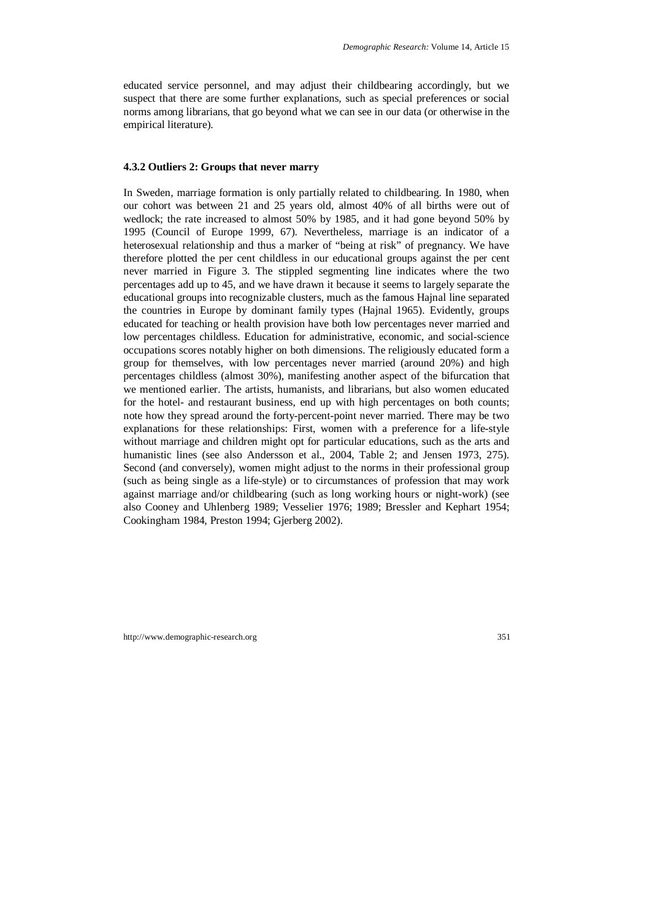educated service personnel, and may adjust their childbearing accordingly, but we suspect that there are some further explanations, such as special preferences or social norms among librarians, that go beyond what we can see in our data (or otherwise in the empirical literature).

#### **4.3.2 Outliers 2: Groups that never marry**

In Sweden, marriage formation is only partially related to childbearing. In 1980, when our cohort was between 21 and 25 years old, almost 40% of all births were out of wedlock; the rate increased to almost 50% by 1985, and it had gone beyond 50% by 1995 (Council of Europe 1999, 67). Nevertheless, marriage is an indicator of a heterosexual relationship and thus a marker of "being at risk" of pregnancy. We have therefore plotted the per cent childless in our educational groups against the per cent never married in Figure 3. The stippled segmenting line indicates where the two percentages add up to 45, and we have drawn it because it seems to largely separate the educational groups into recognizable clusters, much as the famous Hajnal line separated the countries in Europe by dominant family types (Hajnal 1965). Evidently, groups educated for teaching or health provision have both low percentages never married and low percentages childless. Education for administrative, economic, and social-science occupations scores notably higher on both dimensions. The religiously educated form a group for themselves, with low percentages never married (around 20%) and high percentages childless (almost 30%), manifesting another aspect of the bifurcation that we mentioned earlier. The artists, humanists, and librarians, but also women educated for the hotel- and restaurant business, end up with high percentages on both counts; note how they spread around the forty-percent-point never married. There may be two explanations for these relationships: First, women with a preference for a life-style without marriage and children might opt for particular educations, such as the arts and humanistic lines (see also Andersson et al., 2004, Table 2; and Jensen 1973, 275). Second (and conversely), women might adjust to the norms in their professional group (such as being single as a life-style) or to circumstances of profession that may work against marriage and/or childbearing (such as long working hours or night-work) (see also Cooney and Uhlenberg 1989; Vesselier 1976; 1989; Bressler and Kephart 1954; Cookingham 1984, Preston 1994; Gjerberg 2002).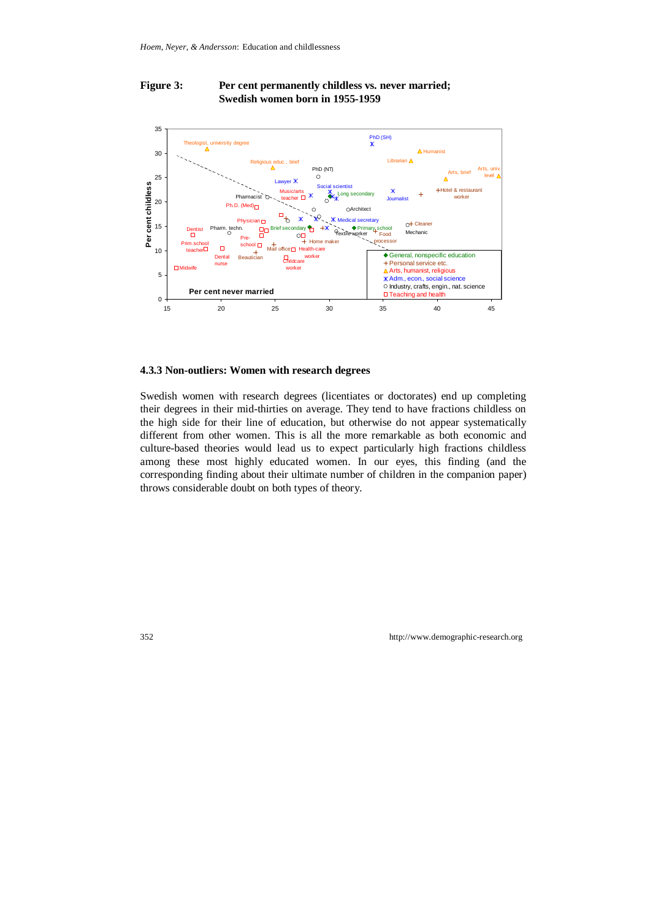## Figure 3: Per cent permanently childless vs. never married;  **Swedish women born in 1955-1959**



#### **4.3.3 Non-outliers: Women with research degrees**

Swedish women with research degrees (licentiates or doctorates) end up completing their degrees in their mid-thirties on average. They tend to have fractions childless on the high side for their line of education, but otherwise do not appear systematically different from other women. This is all the more remarkable as both economic and culture-based theories would lead us to expect particularly high fractions childless among these most highly educated women. In our eyes, this finding (and the corresponding finding about their ultimate number of children in the companion paper) throws considerable doubt on both types of theory.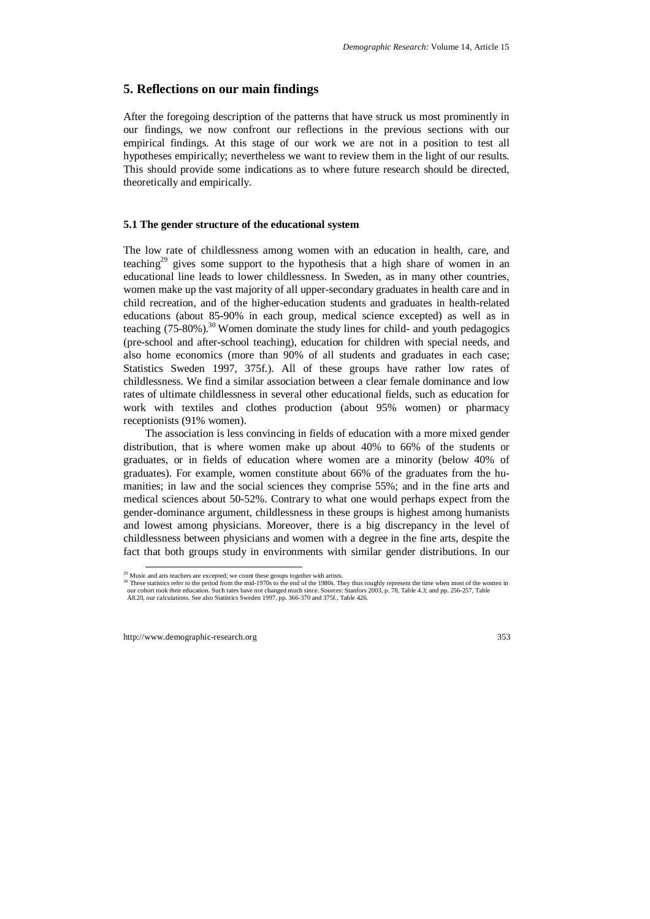## **5. Reflections on our main findings**

After the foregoing description of the patterns that have struck us most prominently in our findings, we now confront our reflections in the previous sections with our empirical findings. At this stage of our work we are not in a position to test all hypotheses empirically; nevertheless we want to review them in the light of our results. This should provide some indications as to where future research should be directed, theoretically and empirically.

#### **5.1 The gender structure of the educational system**

The low rate of childlessness among women with an education in health, care, and teaching<sup>29</sup> gives some support to the hypothesis that a high share of women in an educational line leads to lower childlessness. In Sweden, as in many other countries, women make up the vast majority of all upper-secondary graduates in health care and in child recreation, and of the higher-education students and graduates in health-related educations (about 85-90% in each group, medical science excepted) as well as in teaching  $(75-80\%)$ .<sup>30</sup> Women dominate the study lines for child- and youth pedagogics (pre-school and after-school teaching), education for children with special needs, and also home economics (more than 90% of all students and graduates in each case; Statistics Sweden 1997, 375f.). All of these groups have rather low rates of childlessness. We find a similar association between a clear female dominance and low rates of ultimate childlessness in several other educational fields, such as education for work with textiles and clothes production (about 95% women) or pharmacy receptionists (91% women).

The association is less convincing in fields of education with a more mixed gender distribution, that is where women make up about 40% to 66% of the students or graduates, or in fields of education where women are a minority (below 40% of graduates). For example, women constitute about 66% of the graduates from the humanities; in law and the social sciences they comprise 55%; and in the fine arts and medical sciences about 50-52%. Contrary to what one would perhaps expect from the gender-dominance argument, childlessness in these groups is highest among humanists and lowest among physicians. Moreover, there is a big discrepancy in the level of childlessness between physicians and women with a degree in the fine arts, despite the fact that both groups study in environments with similar gender distributions. In our

<sup>&</sup>lt;sup>29</sup> Music and arts teachers are excepted; we count these groups together with artists.

<sup>&</sup>lt;sup>30</sup> These statistics refer to the period from the mid-1970s to the end of the 1980s. They thus roughly represent the time when most of the women in our cohort took their education. Such rates have not changed much since. Sources: Stanfors 2003, p. 78, Table 4.3; and pp. 256-257, Table A8.20, our calculations. See also Statistics Sweden 1997, pp. 366-370 and 375f., Table 426.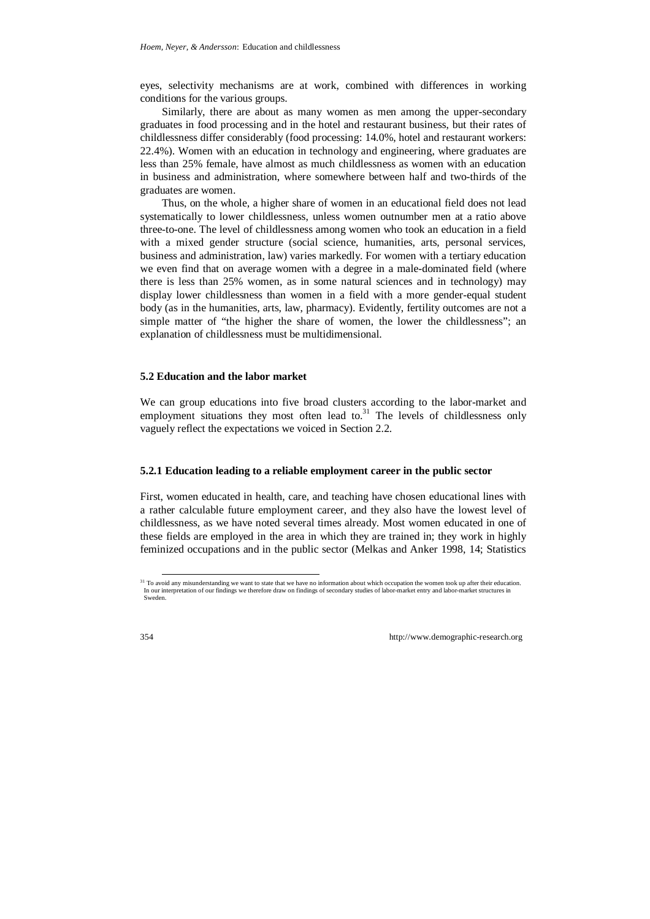eyes, selectivity mechanisms are at work, combined with differences in working conditions for the various groups.

Similarly, there are about as many women as men among the upper-secondary graduates in food processing and in the hotel and restaurant business, but their rates of childlessness differ considerably (food processing: 14.0%, hotel and restaurant workers: 22.4%). Women with an education in technology and engineering, where graduates are less than 25% female, have almost as much childlessness as women with an education in business and administration, where somewhere between half and two-thirds of the graduates are women.

Thus, on the whole, a higher share of women in an educational field does not lead systematically to lower childlessness, unless women outnumber men at a ratio above three-to-one. The level of childlessness among women who took an education in a field with a mixed gender structure (social science, humanities, arts, personal services, business and administration, law) varies markedly. For women with a tertiary education we even find that on average women with a degree in a male-dominated field (where there is less than 25% women, as in some natural sciences and in technology) may display lower childlessness than women in a field with a more gender-equal student body (as in the humanities, arts, law, pharmacy). Evidently, fertility outcomes are not a simple matter of "the higher the share of women, the lower the childlessness"; an explanation of childlessness must be multidimensional.

#### **5.2 Education and the labor market**

We can group educations into five broad clusters according to the labor-market and employment situations they most often lead to. $31$  The levels of childlessness only vaguely reflect the expectations we voiced in Section 2.2.

#### **5.2.1 Education leading to a reliable employment career in the public sector**

First, women educated in health, care, and teaching have chosen educational lines with a rather calculable future employment career, and they also have the lowest level of childlessness, as we have noted several times already. Most women educated in one of these fields are employed in the area in which they are trained in; they work in highly feminized occupations and in the public sector (Melkas and Anker 1998, 14; Statistics

<sup>&</sup>lt;sup>31</sup> To avoid any misunderstanding we want to state that we have no information about which occupation the women took up after their education. In our interpretation of our findings we therefore draw on findings of secondary studies of labor-market entry and labor-market structures in Sweden.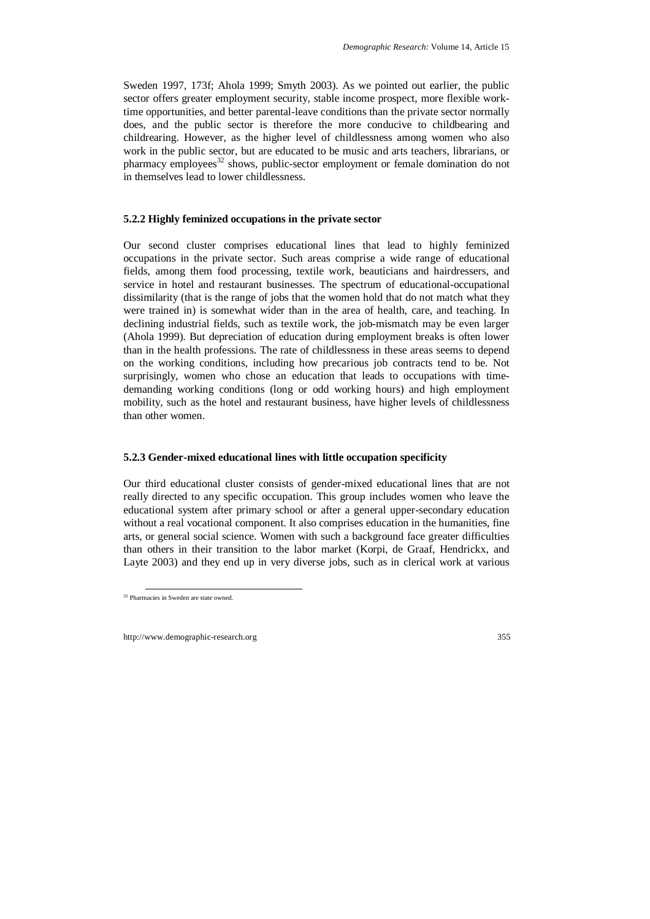Sweden 1997, 173f; Ahola 1999; Smyth 2003). As we pointed out earlier, the public sector offers greater employment security, stable income prospect, more flexible worktime opportunities, and better parental-leave conditions than the private sector normally does, and the public sector is therefore the more conducive to childbearing and childrearing. However, as the higher level of childlessness among women who also work in the public sector, but are educated to be music and arts teachers, librarians, or pharmacy employees<sup>32</sup> shows, public-sector employment or female domination do not in themselves lead to lower childlessness.

## **5.2.2 Highly feminized occupations in the private sector**

Our second cluster comprises educational lines that lead to highly feminized occupations in the private sector. Such areas comprise a wide range of educational fields, among them food processing, textile work, beauticians and hairdressers, and service in hotel and restaurant businesses. The spectrum of educational-occupational dissimilarity (that is the range of jobs that the women hold that do not match what they were trained in) is somewhat wider than in the area of health, care, and teaching. In declining industrial fields, such as textile work, the job-mismatch may be even larger (Ahola 1999). But depreciation of education during employment breaks is often lower than in the health professions. The rate of childlessness in these areas seems to depend on the working conditions, including how precarious job contracts tend to be. Not surprisingly, women who chose an education that leads to occupations with timedemanding working conditions (long or odd working hours) and high employment mobility, such as the hotel and restaurant business, have higher levels of childlessness than other women.

## **5.2.3 Gender-mixed educational lines with little occupation specificity**

Our third educational cluster consists of gender-mixed educational lines that are not really directed to any specific occupation. This group includes women who leave the educational system after primary school or after a general upper-secondary education without a real vocational component. It also comprises education in the humanities, fine arts, or general social science. Women with such a background face greater difficulties than others in their transition to the labor market (Korpi, de Graaf, Hendrickx, and Layte 2003) and they end up in very diverse jobs, such as in clerical work at various

 <sup>32</sup> Pharmacies in Sweden are state owned.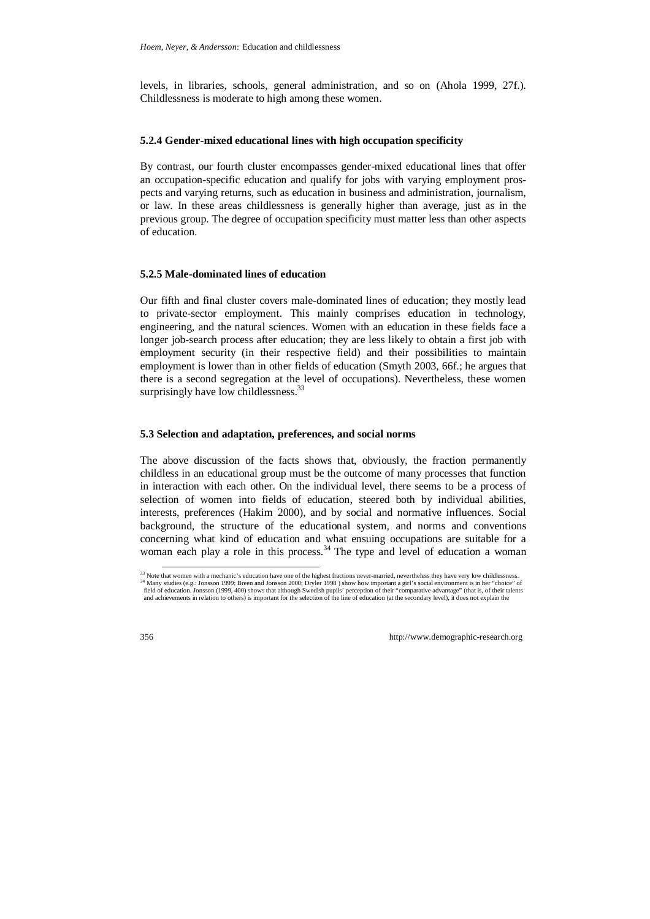levels, in libraries, schools, general administration, and so on (Ahola 1999, 27f.). Childlessness is moderate to high among these women.

## **5.2.4 Gender-mixed educational lines with high occupation specificity**

By contrast, our fourth cluster encompasses gender-mixed educational lines that offer an occupation-specific education and qualify for jobs with varying employment prospects and varying returns, such as education in business and administration, journalism, or law. In these areas childlessness is generally higher than average, just as in the previous group. The degree of occupation specificity must matter less than other aspects of education.

## **5.2.5 Male-dominated lines of education**

Our fifth and final cluster covers male-dominated lines of education; they mostly lead to private-sector employment. This mainly comprises education in technology, engineering, and the natural sciences. Women with an education in these fields face a longer job-search process after education; they are less likely to obtain a first job with employment security (in their respective field) and their possibilities to maintain employment is lower than in other fields of education (Smyth 2003, 66f.; he argues that there is a second segregation at the level of occupations). Nevertheless, these women surprisingly have low childlessness.<sup>33</sup>

## **5.3 Selection and adaptation, preferences, and social norms**

The above discussion of the facts shows that, obviously, the fraction permanently childless in an educational group must be the outcome of many processes that function in interaction with each other. On the individual level, there seems to be a process of selection of women into fields of education, steered both by individual abilities, interests, preferences (Hakim 2000), and by social and normative influences. Social background, the structure of the educational system, and norms and conventions concerning what kind of education and what ensuing occupations are suitable for a woman each play a role in this process.<sup>34</sup> The type and level of education a woman

<sup>&</sup>lt;sup>33</sup> Note that women with a mechanic's education have one of the highest fractions never-married, nevertheless they have very low childlessness.<br><sup>34</sup> Many studies (e.g.: Jonsson 1999; Breen and Jonsson 2000; Dryler 1998 )

field of education. Jonsson (1999, 400) shows that although Swedish pupils' perception of their "comparative advantage" (that is, of their talents and achievements in relation to others) is important for the selection of the line of education (at the secondary level), it does not explain the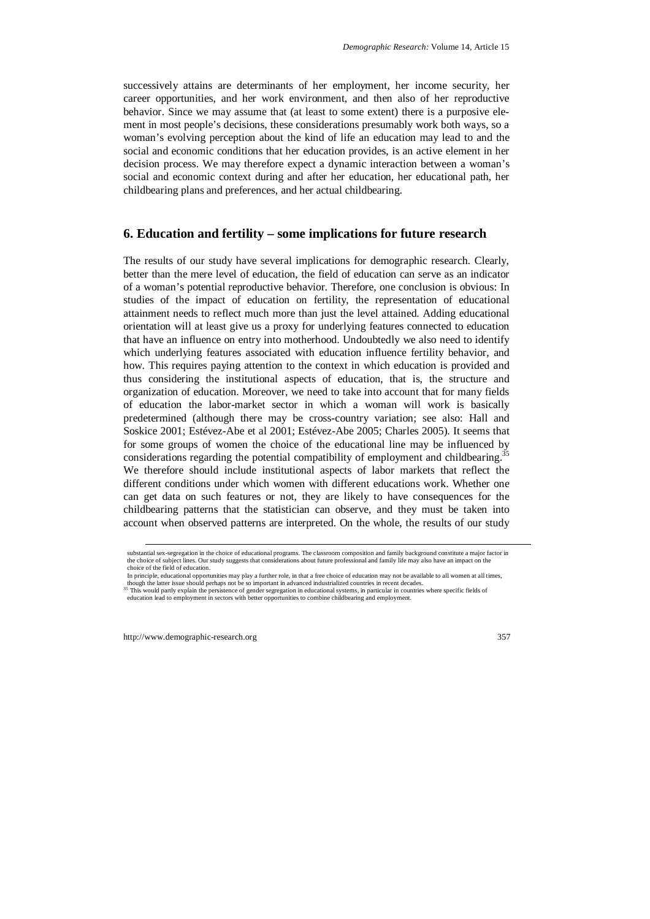successively attains are determinants of her employment, her income security, her career opportunities, and her work environment, and then also of her reproductive behavior. Since we may assume that (at least to some extent) there is a purposive element in most people's decisions, these considerations presumably work both ways, so a woman's evolving perception about the kind of life an education may lead to and the social and economic conditions that her education provides, is an active element in her decision process. We may therefore expect a dynamic interaction between a woman's social and economic context during and after her education, her educational path, her childbearing plans and preferences, and her actual childbearing.

## **6. Education and fertility – some implications for future research**

The results of our study have several implications for demographic research. Clearly, better than the mere level of education, the field of education can serve as an indicator of a woman's potential reproductive behavior. Therefore, one conclusion is obvious: In studies of the impact of education on fertility, the representation of educational attainment needs to reflect much more than just the level attained. Adding educational orientation will at least give us a proxy for underlying features connected to education that have an influence on entry into motherhood. Undoubtedly we also need to identify which underlying features associated with education influence fertility behavior, and how. This requires paying attention to the context in which education is provided and thus considering the institutional aspects of education, that is, the structure and organization of education. Moreover, we need to take into account that for many fields of education the labor-market sector in which a woman will work is basically predetermined (although there may be cross-country variation; see also: Hall and Soskice 2001; Estévez-Abe et al 2001; Estévez-Abe 2005; Charles 2005). It seems that for some groups of women the choice of the educational line may be influenced by considerations regarding the potential compatibility of employment and childbearing.<sup>35</sup> We therefore should include institutional aspects of labor markets that reflect the different conditions under which women with different educations work. Whether one can get data on such features or not, they are likely to have consequences for the childbearing patterns that the statistician can observe, and they must be taken into account when observed patterns are interpreted. On the whole, the results of our study

substantial sex-segregation in the choice of educational programs. The classroom composition and family background constitute a major factor in the choice of subject lines. Our study suggests that considerations about future professional and family life may also have an impact on the choice of the field of education.

In principle, educational opportunities may play a further role, in that a free choice of education may not be available to all women at all times, though the latter issue should perhaps not be so important in advanced ind

<sup>&</sup>lt;sup>35</sup>This would partly explain the persistence of gender segregation in educational systems, in particular in countries where specific fields of education lead to employment in sectors with better opportunities to combine childbearing and employment.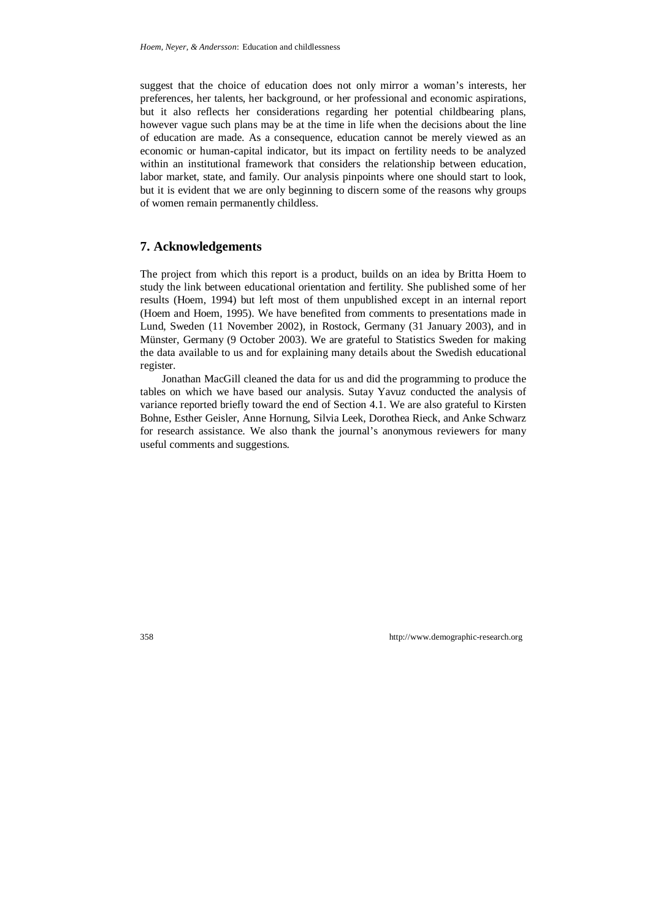suggest that the choice of education does not only mirror a woman's interests, her preferences, her talents, her background, or her professional and economic aspirations, but it also reflects her considerations regarding her potential childbearing plans, however vague such plans may be at the time in life when the decisions about the line of education are made. As a consequence, education cannot be merely viewed as an economic or human-capital indicator, but its impact on fertility needs to be analyzed within an institutional framework that considers the relationship between education, labor market, state, and family. Our analysis pinpoints where one should start to look, but it is evident that we are only beginning to discern some of the reasons why groups of women remain permanently childless.

## **7. Acknowledgements**

The project from which this report is a product, builds on an idea by Britta Hoem to study the link between educational orientation and fertility. She published some of her results (Hoem, 1994) but left most of them unpublished except in an internal report (Hoem and Hoem, 1995). We have benefited from comments to presentations made in Lund, Sweden (11 November 2002), in Rostock, Germany (31 January 2003), and in Münster, Germany (9 October 2003). We are grateful to Statistics Sweden for making the data available to us and for explaining many details about the Swedish educational register.

Jonathan MacGill cleaned the data for us and did the programming to produce the tables on which we have based our analysis. Sutay Yavuz conducted the analysis of variance reported briefly toward the end of Section 4.1. We are also grateful to Kirsten Bohne, Esther Geisler, Anne Hornung, Silvia Leek, Dorothea Rieck, and Anke Schwarz for research assistance. We also thank the journal's anonymous reviewers for many useful comments and suggestions.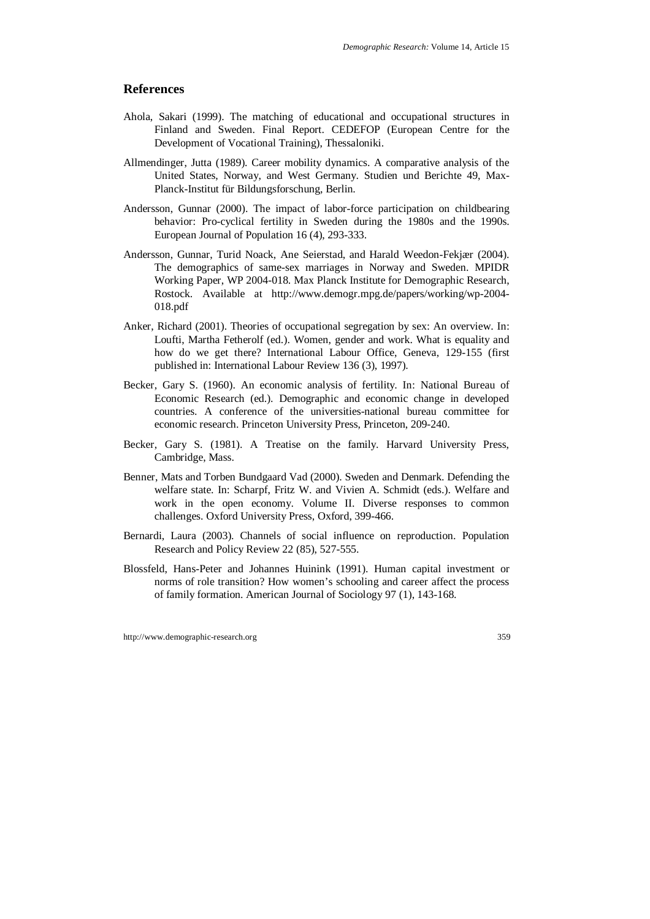## **References**

- Ahola, Sakari (1999). The matching of educational and occupational structures in Finland and Sweden. Final Report. CEDEFOP (European Centre for the Development of Vocational Training), Thessaloniki.
- Allmendinger, Jutta (1989). Career mobility dynamics. A comparative analysis of the United States, Norway, and West Germany. Studien und Berichte 49, Max-Planck-Institut für Bildungsforschung, Berlin.
- Andersson, Gunnar (2000). The impact of labor-force participation on childbearing behavior: Pro-cyclical fertility in Sweden during the 1980s and the 1990s. European Journal of Population 16 (4), 293-333.
- Andersson, Gunnar, Turid Noack, Ane Seierstad, and Harald Weedon-Fekjær (2004). The demographics of same-sex marriages in Norway and Sweden. MPIDR Working Paper, WP 2004-018. Max Planck Institute for Demographic Research, Rostock. Available at http://www.demogr.mpg.de/papers/working/wp-2004- 018.pdf
- Anker, Richard (2001). Theories of occupational segregation by sex: An overview. In: Loufti, Martha Fetherolf (ed.). Women, gender and work. What is equality and how do we get there? International Labour Office, Geneva, 129-155 (first published in: International Labour Review 136 (3), 1997).
- Becker, Gary S. (1960). An economic analysis of fertility. In: National Bureau of Economic Research (ed.). Demographic and economic change in developed countries. A conference of the universities-national bureau committee for economic research. Princeton University Press, Princeton, 209-240.
- Becker, Gary S. (1981). A Treatise on the family. Harvard University Press, Cambridge, Mass.
- Benner, Mats and Torben Bundgaard Vad (2000). Sweden and Denmark. Defending the welfare state. In: Scharpf, Fritz W. and Vivien A. Schmidt (eds.). Welfare and work in the open economy. Volume II. Diverse responses to common challenges. Oxford University Press, Oxford, 399-466.
- Bernardi, Laura (2003). Channels of social influence on reproduction. Population Research and Policy Review 22 (85), 527-555.
- Blossfeld, Hans-Peter and Johannes Huinink (1991). Human capital investment or norms of role transition? How women's schooling and career affect the process of family formation. American Journal of Sociology 97 (1), 143-168.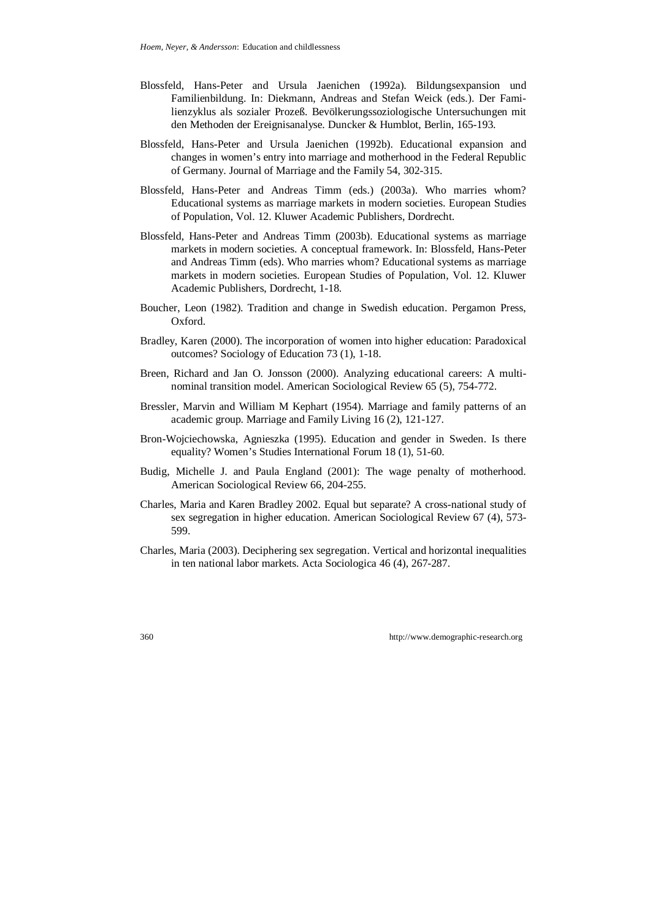- Blossfeld, Hans-Peter and Ursula Jaenichen (1992a). Bildungsexpansion und Familienbildung. In: Diekmann, Andreas and Stefan Weick (eds.). Der Familienzyklus als sozialer Prozeß. Bevölkerungssoziologische Untersuchungen mit den Methoden der Ereignisanalyse. Duncker & Humblot, Berlin, 165-193.
- Blossfeld, Hans-Peter and Ursula Jaenichen (1992b). Educational expansion and changes in women's entry into marriage and motherhood in the Federal Republic of Germany. Journal of Marriage and the Family 54, 302-315.
- Blossfeld, Hans-Peter and Andreas Timm (eds.) (2003a). Who marries whom? Educational systems as marriage markets in modern societies. European Studies of Population, Vol. 12. Kluwer Academic Publishers, Dordrecht.
- Blossfeld, Hans-Peter and Andreas Timm (2003b). Educational systems as marriage markets in modern societies. A conceptual framework. In: Blossfeld, Hans-Peter and Andreas Timm (eds). Who marries whom? Educational systems as marriage markets in modern societies. European Studies of Population, Vol. 12. Kluwer Academic Publishers, Dordrecht, 1-18.
- Boucher, Leon (1982). Tradition and change in Swedish education. Pergamon Press, Oxford.
- Bradley, Karen (2000). The incorporation of women into higher education: Paradoxical outcomes? Sociology of Education 73 (1), 1-18.
- Breen, Richard and Jan O. Jonsson (2000). Analyzing educational careers: A multinominal transition model. American Sociological Review 65 (5), 754-772.
- Bressler, Marvin and William M Kephart (1954). Marriage and family patterns of an academic group. Marriage and Family Living 16 (2), 121-127.
- Bron-Wojciechowska, Agnieszka (1995). Education and gender in Sweden. Is there equality? Women's Studies International Forum 18 (1), 51-60.
- Budig, Michelle J. and Paula England (2001): The wage penalty of motherhood. American Sociological Review 66, 204-255.
- Charles, Maria and Karen Bradley 2002. Equal but separate? A cross-national study of sex segregation in higher education. American Sociological Review 67 (4), 573- 599.
- Charles, Maria (2003). Deciphering sex segregation. Vertical and horizontal inequalities in ten national labor markets. Acta Sociologica 46 (4), 267-287.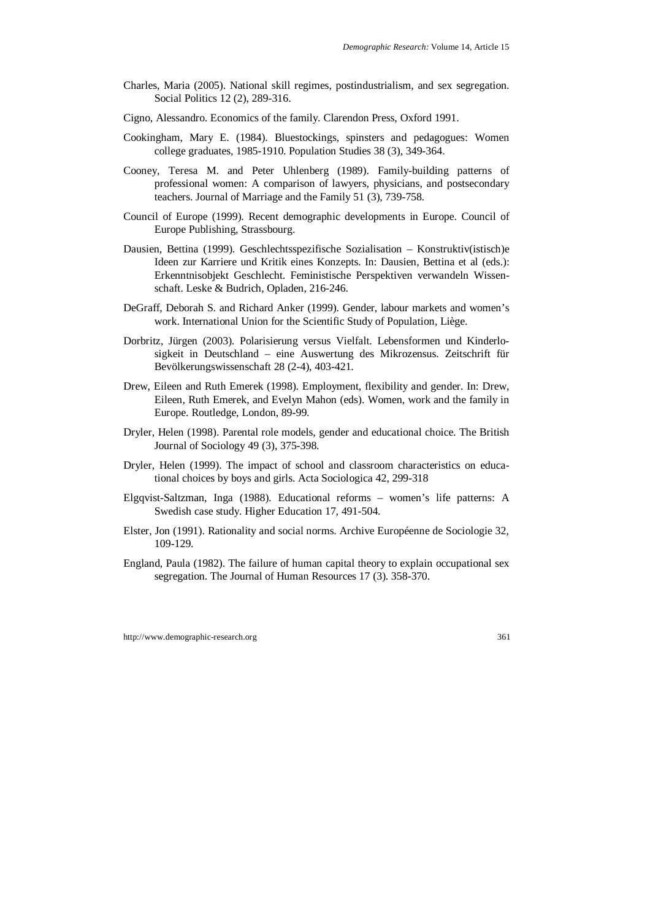- Charles, Maria (2005). National skill regimes, postindustrialism, and sex segregation. Social Politics 12 (2), 289-316.
- Cigno, Alessandro. Economics of the family. Clarendon Press, Oxford 1991.
- Cookingham, Mary E. (1984). Bluestockings, spinsters and pedagogues: Women college graduates, 1985-1910. Population Studies 38 (3), 349-364.
- Cooney, Teresa M. and Peter Uhlenberg (1989). Family-building patterns of professional women: A comparison of lawyers, physicians, and postsecondary teachers. Journal of Marriage and the Family 51 (3), 739-758.
- Council of Europe (1999). Recent demographic developments in Europe. Council of Europe Publishing, Strassbourg.
- Dausien, Bettina (1999). Geschlechtsspezifische Sozialisation Konstruktiv(istisch)e Ideen zur Karriere und Kritik eines Konzepts. In: Dausien, Bettina et al (eds.): Erkenntnisobjekt Geschlecht. Feministische Perspektiven verwandeln Wissenschaft. Leske & Budrich, Opladen, 216-246.
- DeGraff, Deborah S. and Richard Anker (1999). Gender, labour markets and women's work. International Union for the Scientific Study of Population, Liège.
- Dorbritz, Jürgen (2003). Polarisierung versus Vielfalt. Lebensformen und Kinderlosigkeit in Deutschland – eine Auswertung des Mikrozensus. Zeitschrift für Bevölkerungswissenschaft 28 (2-4), 403-421.
- Drew, Eileen and Ruth Emerek (1998). Employment, flexibility and gender. In: Drew, Eileen, Ruth Emerek, and Evelyn Mahon (eds). Women, work and the family in Europe. Routledge, London, 89-99.
- Dryler, Helen (1998). Parental role models, gender and educational choice. The British Journal of Sociology 49 (3), 375-398.
- Dryler, Helen (1999). The impact of school and classroom characteristics on educational choices by boys and girls. Acta Sociologica 42, 299-318
- Elgqvist-Saltzman, Inga (1988). Educational reforms women's life patterns: A Swedish case study. Higher Education 17, 491-504.
- Elster, Jon (1991). Rationality and social norms. Archive Européenne de Sociologie 32, 109-129.
- England, Paula (1982). The failure of human capital theory to explain occupational sex segregation. The Journal of Human Resources 17 (3). 358-370.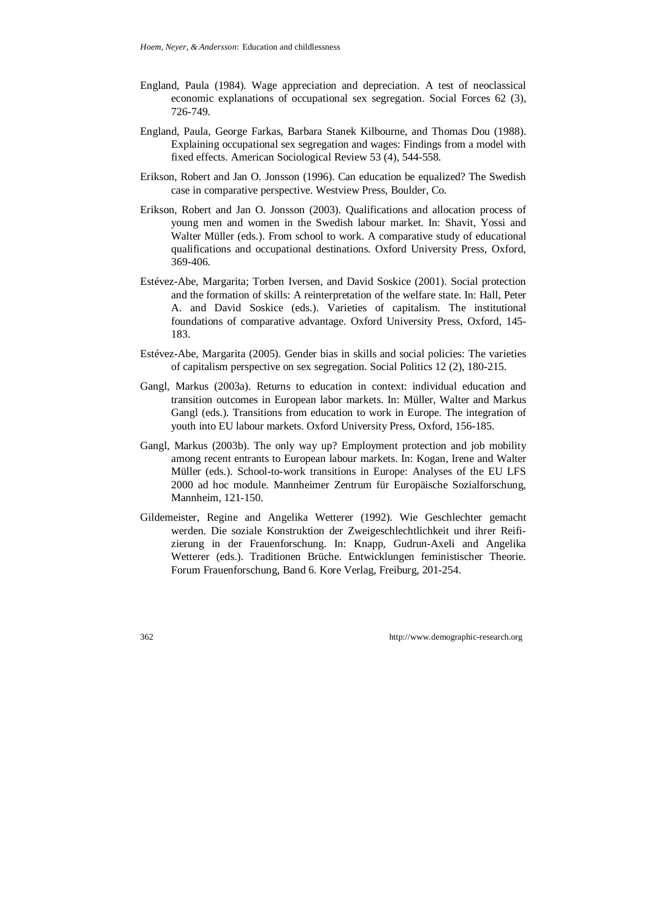- England, Paula (1984). Wage appreciation and depreciation. A test of neoclassical economic explanations of occupational sex segregation. Social Forces 62 (3), 726-749.
- England, Paula, George Farkas, Barbara Stanek Kilbourne, and Thomas Dou (1988). Explaining occupational sex segregation and wages: Findings from a model with fixed effects. American Sociological Review 53 (4), 544-558.
- Erikson, Robert and Jan O. Jonsson (1996). Can education be equalized? The Swedish case in comparative perspective. Westview Press, Boulder, Co.
- Erikson, Robert and Jan O. Jonsson (2003). Qualifications and allocation process of young men and women in the Swedish labour market. In: Shavit, Yossi and Walter Müller (eds.). From school to work. A comparative study of educational qualifications and occupational destinations. Oxford University Press, Oxford, 369-406.
- Estévez-Abe, Margarita; Torben Iversen, and David Soskice (2001). Social protection and the formation of skills: A reinterpretation of the welfare state. In: Hall, Peter A. and David Soskice (eds.). Varieties of capitalism. The institutional foundations of comparative advantage. Oxford University Press, Oxford, 145- 183.
- Estévez-Abe, Margarita (2005). Gender bias in skills and social policies: The varieties of capitalism perspective on sex segregation. Social Politics 12 (2), 180-215.
- Gangl, Markus (2003a). Returns to education in context: individual education and transition outcomes in European labor markets. In: Müller, Walter and Markus Gangl (eds.). Transitions from education to work in Europe. The integration of youth into EU labour markets. Oxford University Press, Oxford, 156-185.
- Gangl, Markus (2003b). The only way up? Employment protection and job mobility among recent entrants to European labour markets. In: Kogan, Irene and Walter Müller (eds.). School-to-work transitions in Europe: Analyses of the EU LFS 2000 ad hoc module. Mannheimer Zentrum für Europäische Sozialforschung, Mannheim, 121-150.
- Gildemeister, Regine and Angelika Wetterer (1992). Wie Geschlechter gemacht werden. Die soziale Konstruktion der Zweigeschlechtlichkeit und ihrer Reifizierung in der Frauenforschung. In: Knapp, Gudrun-Axeli and Angelika Wetterer (eds.). Traditionen Brüche. Entwicklungen feministischer Theorie. Forum Frauenforschung, Band 6. Kore Verlag, Freiburg, 201-254.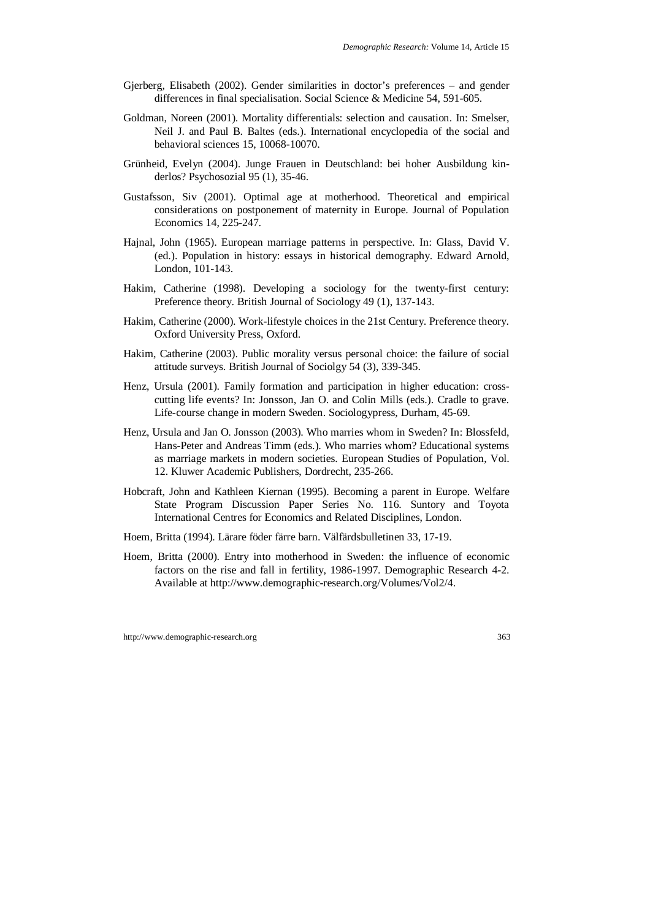- Gjerberg, Elisabeth (2002). Gender similarities in doctor's preferences and gender differences in final specialisation. Social Science & Medicine 54, 591-605.
- Goldman, Noreen (2001). Mortality differentials: selection and causation. In: Smelser, Neil J. and Paul B. Baltes (eds.). International encyclopedia of the social and behavioral sciences 15, 10068-10070.
- Grünheid, Evelyn (2004). Junge Frauen in Deutschland: bei hoher Ausbildung kinderlos? Psychosozial 95 (1), 35-46.
- Gustafsson, Siv (2001). Optimal age at motherhood. Theoretical and empirical considerations on postponement of maternity in Europe. Journal of Population Economics 14, 225-247.
- Hajnal, John (1965). European marriage patterns in perspective. In: Glass, David V. (ed.). Population in history: essays in historical demography. Edward Arnold, London, 101-143.
- Hakim, Catherine (1998). Developing a sociology for the twenty-first century: Preference theory. British Journal of Sociology 49 (1), 137-143.
- Hakim, Catherine (2000). Work-lifestyle choices in the 21st Century. Preference theory. Oxford University Press, Oxford.
- Hakim, Catherine (2003). Public morality versus personal choice: the failure of social attitude surveys. British Journal of Sociolgy 54 (3), 339-345.
- Henz, Ursula (2001). Family formation and participation in higher education: crosscutting life events? In: Jonsson, Jan O. and Colin Mills (eds.). Cradle to grave. Life-course change in modern Sweden. Sociologypress, Durham, 45-69.
- Henz, Ursula and Jan O. Jonsson (2003). Who marries whom in Sweden? In: Blossfeld, Hans-Peter and Andreas Timm (eds.). Who marries whom? Educational systems as marriage markets in modern societies. European Studies of Population, Vol. 12. Kluwer Academic Publishers, Dordrecht, 235-266.
- Hobcraft, John and Kathleen Kiernan (1995). Becoming a parent in Europe. Welfare State Program Discussion Paper Series No. 116. Suntory and Toyota International Centres for Economics and Related Disciplines, London.
- Hoem, Britta (1994). Lärare föder färre barn. Välfärdsbulletinen 33, 17-19.
- Hoem, Britta (2000). Entry into motherhood in Sweden: the influence of economic factors on the rise and fall in fertility, 1986-1997. Demographic Research 4-2. Available at http://www.demographic-research.org/Volumes/Vol2/4.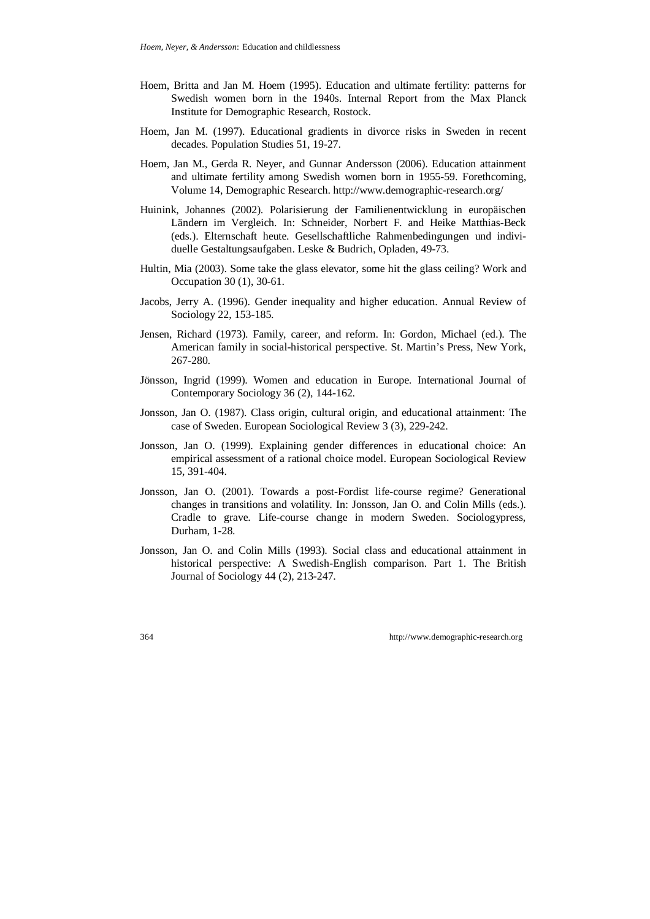- Hoem, Britta and Jan M. Hoem (1995). Education and ultimate fertility: patterns for Swedish women born in the 1940s. Internal Report from the Max Planck Institute for Demographic Research, Rostock.
- Hoem, Jan M. (1997). Educational gradients in divorce risks in Sweden in recent decades. Population Studies 51, 19-27.
- Hoem, Jan M., Gerda R. Neyer, and Gunnar Andersson (2006). Education attainment and ultimate fertility among Swedish women born in 1955-59. Forethcoming, Volume 14, Demographic Research. http://www.demographic-research.org/
- Huinink, Johannes (2002). Polarisierung der Familienentwicklung in europäischen Ländern im Vergleich. In: Schneider, Norbert F. and Heike Matthias-Beck (eds.). Elternschaft heute. Gesellschaftliche Rahmenbedingungen und individuelle Gestaltungsaufgaben. Leske & Budrich, Opladen, 49-73.
- Hultin, Mia (2003). Some take the glass elevator, some hit the glass ceiling? Work and Occupation 30 (1), 30-61.
- Jacobs, Jerry A. (1996). Gender inequality and higher education. Annual Review of Sociology 22, 153-185.
- Jensen, Richard (1973). Family, career, and reform. In: Gordon, Michael (ed.). The American family in social-historical perspective. St. Martin's Press, New York, 267-280.
- Jönsson, Ingrid (1999). Women and education in Europe. International Journal of Contemporary Sociology 36 (2), 144-162.
- Jonsson, Jan O. (1987). Class origin, cultural origin, and educational attainment: The case of Sweden. European Sociological Review 3 (3), 229-242.
- Jonsson, Jan O. (1999). Explaining gender differences in educational choice: An empirical assessment of a rational choice model. European Sociological Review 15, 391-404.
- Jonsson, Jan O. (2001). Towards a post-Fordist life-course regime? Generational changes in transitions and volatility. In: Jonsson, Jan O. and Colin Mills (eds.). Cradle to grave. Life-course change in modern Sweden. Sociologypress, Durham, 1-28.
- Jonsson, Jan O. and Colin Mills (1993). Social class and educational attainment in historical perspective: A Swedish-English comparison. Part 1. The British Journal of Sociology 44 (2), 213-247.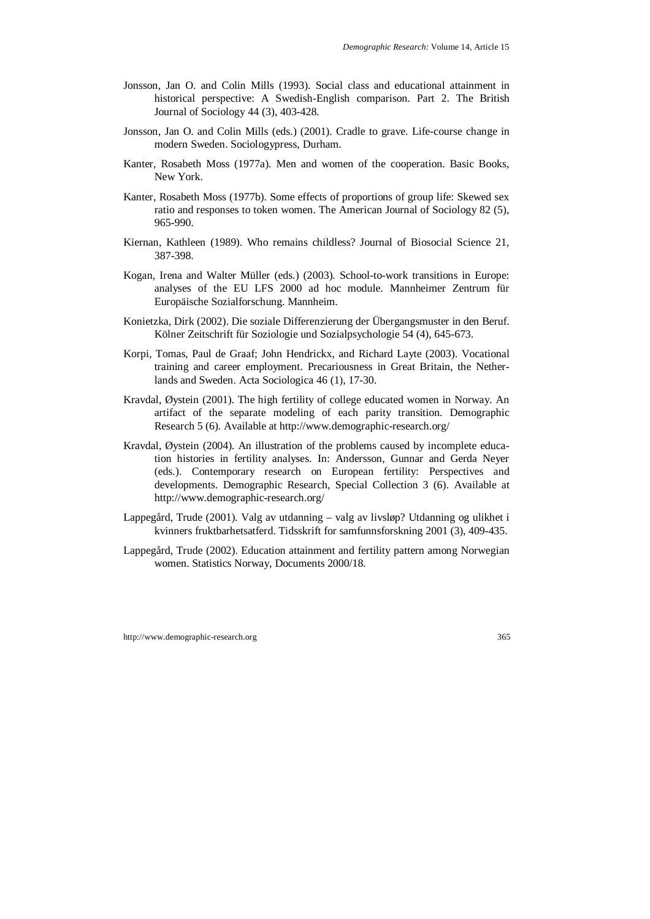- Jonsson, Jan O. and Colin Mills (1993). Social class and educational attainment in historical perspective: A Swedish-English comparison. Part 2. The British Journal of Sociology 44 (3), 403-428.
- Jonsson, Jan O. and Colin Mills (eds.) (2001). Cradle to grave. Life-course change in modern Sweden. Sociologypress, Durham.
- Kanter, Rosabeth Moss (1977a). Men and women of the cooperation. Basic Books, New York.
- Kanter, Rosabeth Moss (1977b). Some effects of proportions of group life: Skewed sex ratio and responses to token women. The American Journal of Sociology 82 (5), 965-990.
- Kiernan, Kathleen (1989). Who remains childless? Journal of Biosocial Science 21, 387-398.
- Kogan, Irena and Walter Müller (eds.) (2003). School-to-work transitions in Europe: analyses of the EU LFS 2000 ad hoc module. Mannheimer Zentrum für Europäische Sozialforschung. Mannheim.
- Konietzka, Dirk (2002). Die soziale Differenzierung der Übergangsmuster in den Beruf. Kölner Zeitschrift für Soziologie und Sozialpsychologie 54 (4), 645-673.
- Korpi, Tomas, Paul de Graaf; John Hendrickx, and Richard Layte (2003). Vocational training and career employment. Precariousness in Great Britain, the Netherlands and Sweden. Acta Sociologica 46 (1), 17-30.
- Kravdal, Øystein (2001). The high fertility of college educated women in Norway. An artifact of the separate modeling of each parity transition. Demographic Research 5 (6). Available at http://www.demographic-research.org/
- Kravdal, Øystein (2004). An illustration of the problems caused by incomplete education histories in fertility analyses. In: Andersson, Gunnar and Gerda Neyer (eds.). Contemporary research on European fertility: Perspectives and developments. Demographic Research, Special Collection 3 (6). Available at http://www.demographic-research.org/
- Lappegård, Trude (2001). Valg av utdanning valg av livsløp? Utdanning og ulikhet i kvinners fruktbarhetsatferd. Tidsskrift for samfunnsforskning 2001 (3), 409-435.
- Lappegård, Trude (2002). Education attainment and fertility pattern among Norwegian women. Statistics Norway, Documents 2000/18.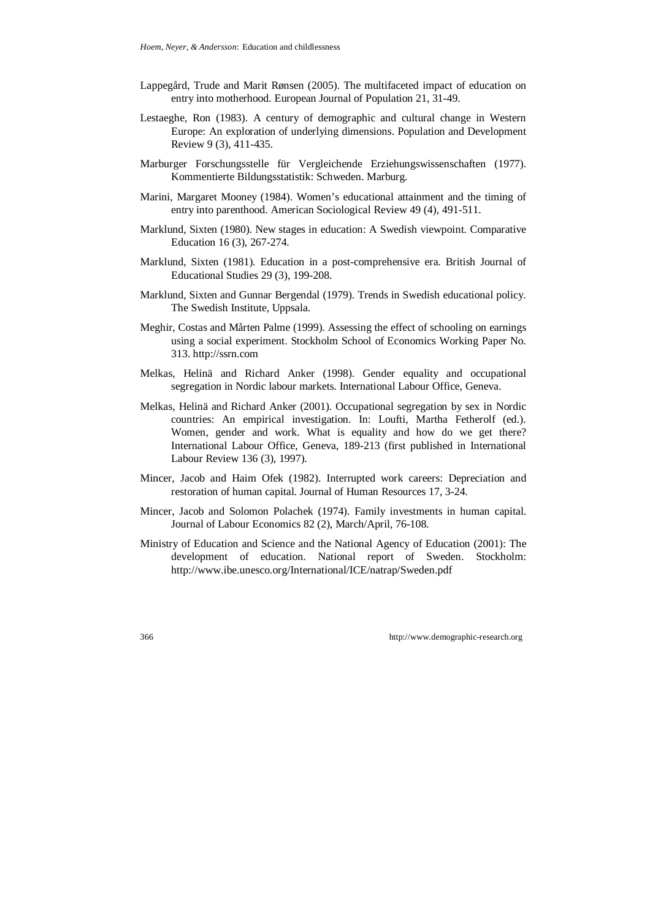- Lappegård, Trude and Marit Rønsen (2005). The multifaceted impact of education on entry into motherhood. European Journal of Population 21, 31-49.
- Lestaeghe, Ron (1983). A century of demographic and cultural change in Western Europe: An exploration of underlying dimensions. Population and Development Review 9 (3), 411-435.
- Marburger Forschungsstelle für Vergleichende Erziehungswissenschaften (1977). Kommentierte Bildungsstatistik: Schweden. Marburg.
- Marini, Margaret Mooney (1984). Women's educational attainment and the timing of entry into parenthood. American Sociological Review 49 (4), 491-511.
- Marklund, Sixten (1980). New stages in education: A Swedish viewpoint. Comparative Education 16 (3), 267-274.
- Marklund, Sixten (1981). Education in a post-comprehensive era. British Journal of Educational Studies 29 (3), 199-208.
- Marklund, Sixten and Gunnar Bergendal (1979). Trends in Swedish educational policy. The Swedish Institute, Uppsala.
- Meghir, Costas and Mårten Palme (1999). Assessing the effect of schooling on earnings using a social experiment. Stockholm School of Economics Working Paper No. 313. http://ssrn.com
- Melkas, Helinä and Richard Anker (1998). Gender equality and occupational segregation in Nordic labour markets. International Labour Office, Geneva.
- Melkas, Helinä and Richard Anker (2001). Occupational segregation by sex in Nordic countries: An empirical investigation. In: Loufti, Martha Fetherolf (ed.). Women, gender and work. What is equality and how do we get there? International Labour Office, Geneva, 189-213 (first published in International Labour Review 136 (3), 1997).
- Mincer, Jacob and Haim Ofek (1982). Interrupted work careers: Depreciation and restoration of human capital. Journal of Human Resources 17, 3-24.
- Mincer, Jacob and Solomon Polachek (1974). Family investments in human capital. Journal of Labour Economics 82 (2), March/April, 76-108.
- Ministry of Education and Science and the National Agency of Education (2001): The development of education. National report of Sweden. Stockholm: http://www.ibe.unesco.org/International/ICE/natrap/Sweden.pdf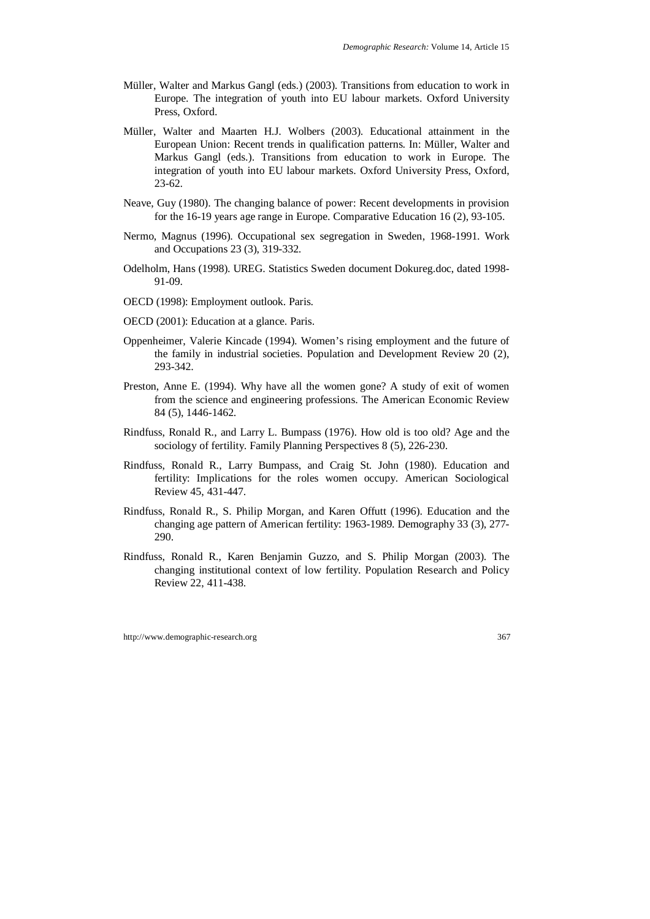- Müller, Walter and Markus Gangl (eds.) (2003). Transitions from education to work in Europe. The integration of youth into EU labour markets. Oxford University Press, Oxford.
- Müller, Walter and Maarten H.J. Wolbers (2003). Educational attainment in the European Union: Recent trends in qualification patterns. In: Müller, Walter and Markus Gangl (eds.). Transitions from education to work in Europe. The integration of youth into EU labour markets. Oxford University Press, Oxford, 23-62.
- Neave, Guy (1980). The changing balance of power: Recent developments in provision for the 16-19 years age range in Europe. Comparative Education 16 (2), 93-105.
- Nermo, Magnus (1996). Occupational sex segregation in Sweden, 1968-1991. Work and Occupations 23 (3), 319-332.
- Odelholm, Hans (1998). UREG. Statistics Sweden document Dokureg.doc, dated 1998- 91-09.
- OECD (1998): Employment outlook. Paris.
- OECD (2001): Education at a glance. Paris.
- Oppenheimer, Valerie Kincade (1994). Women's rising employment and the future of the family in industrial societies. Population and Development Review 20 (2), 293-342.
- Preston, Anne E. (1994). Why have all the women gone? A study of exit of women from the science and engineering professions. The American Economic Review 84 (5), 1446-1462.
- Rindfuss, Ronald R., and Larry L. Bumpass (1976). How old is too old? Age and the sociology of fertility. Family Planning Perspectives 8 (5), 226-230.
- Rindfuss, Ronald R., Larry Bumpass, and Craig St. John (1980). Education and fertility: Implications for the roles women occupy. American Sociological Review 45, 431-447.
- Rindfuss, Ronald R., S. Philip Morgan, and Karen Offutt (1996). Education and the changing age pattern of American fertility: 1963-1989. Demography 33 (3), 277- 290.
- Rindfuss, Ronald R., Karen Benjamin Guzzo, and S. Philip Morgan (2003). The changing institutional context of low fertility. Population Research and Policy Review 22, 411-438.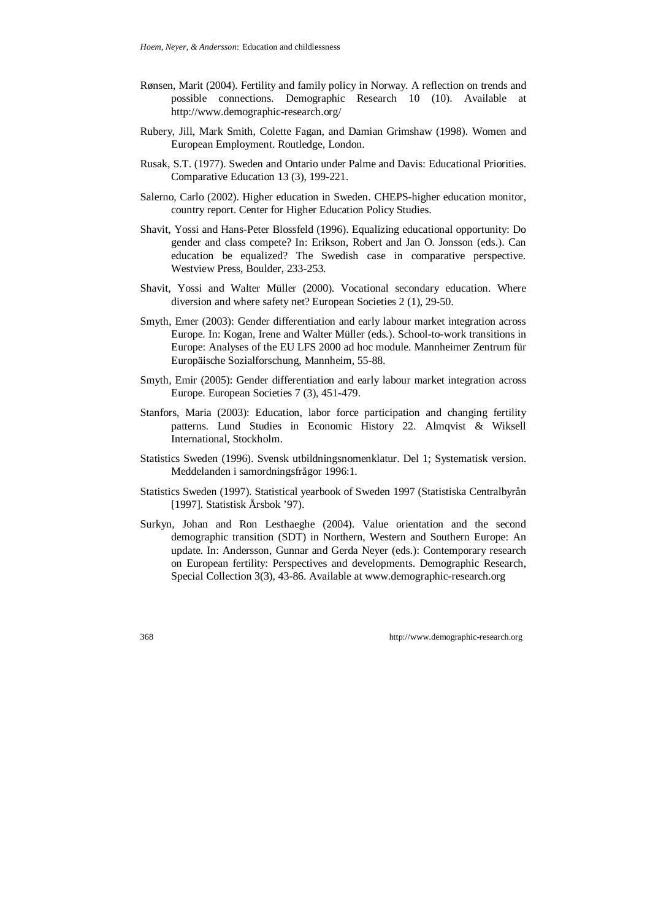- Rønsen, Marit (2004). Fertility and family policy in Norway. A reflection on trends and possible connections. Demographic Research 10 (10). Available at http://www.demographic-research.org/
- Rubery, Jill, Mark Smith, Colette Fagan, and Damian Grimshaw (1998). Women and European Employment. Routledge, London.
- Rusak, S.T. (1977). Sweden and Ontario under Palme and Davis: Educational Priorities. Comparative Education 13 (3), 199-221.
- Salerno, Carlo (2002). Higher education in Sweden. CHEPS-higher education monitor, country report. Center for Higher Education Policy Studies.
- Shavit, Yossi and Hans-Peter Blossfeld (1996). Equalizing educational opportunity: Do gender and class compete? In: Erikson, Robert and Jan O. Jonsson (eds.). Can education be equalized? The Swedish case in comparative perspective. Westview Press, Boulder, 233-253.
- Shavit, Yossi and Walter Müller (2000). Vocational secondary education. Where diversion and where safety net? European Societies 2 (1), 29-50.
- Smyth, Emer (2003): Gender differentiation and early labour market integration across Europe. In: Kogan, Irene and Walter Müller (eds.). School-to-work transitions in Europe: Analyses of the EU LFS 2000 ad hoc module. Mannheimer Zentrum für Europäische Sozialforschung, Mannheim, 55-88.
- Smyth, Emir (2005): Gender differentiation and early labour market integration across Europe. European Societies 7 (3), 451-479.
- Stanfors, Maria (2003): Education, labor force participation and changing fertility patterns. Lund Studies in Economic History 22. Almqvist & Wiksell International, Stockholm.
- Statistics Sweden (1996). Svensk utbildningsnomenklatur. Del 1; Systematisk version. Meddelanden i samordningsfrågor 1996:1.
- Statistics Sweden (1997). Statistical yearbook of Sweden 1997 (Statistiska Centralbyrån [1997]. Statistisk Årsbok '97).
- Surkyn, Johan and Ron Lesthaeghe (2004). Value orientation and the second demographic transition (SDT) in Northern, Western and Southern Europe: An update. In: Andersson, Gunnar and Gerda Neyer (eds.): Contemporary research on European fertility: Perspectives and developments. Demographic Research, Special Collection 3(3), 43-86. Available at www.demographic-research.org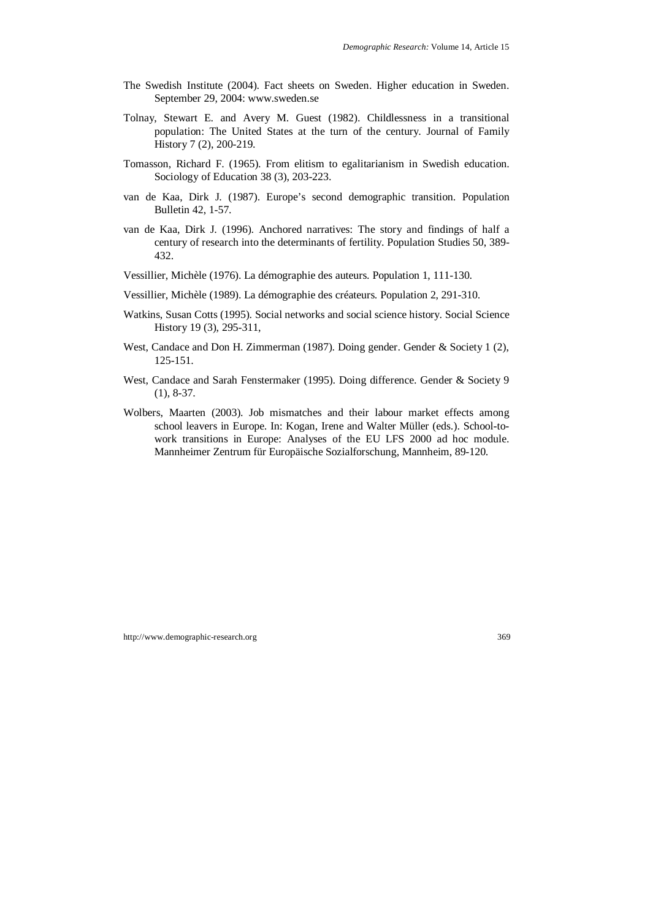- The Swedish Institute (2004). Fact sheets on Sweden. Higher education in Sweden. September 29, 2004: www.sweden.se
- Tolnay, Stewart E. and Avery M. Guest (1982). Childlessness in a transitional population: The United States at the turn of the century. Journal of Family History 7 (2), 200-219.
- Tomasson, Richard F. (1965). From elitism to egalitarianism in Swedish education. Sociology of Education 38 (3), 203-223.
- van de Kaa, Dirk J. (1987). Europe's second demographic transition. Population Bulletin 42, 1-57.
- van de Kaa, Dirk J. (1996). Anchored narratives: The story and findings of half a century of research into the determinants of fertility. Population Studies 50, 389- 432.
- Vessillier, Michèle (1976). La démographie des auteurs. Population 1, 111-130.
- Vessillier, Michèle (1989). La démographie des créateurs. Population 2, 291-310.
- Watkins, Susan Cotts (1995). Social networks and social science history. Social Science History 19 (3), 295-311,
- West, Candace and Don H. Zimmerman (1987). Doing gender. Gender & Society 1 (2), 125-151.
- West, Candace and Sarah Fenstermaker (1995). Doing difference. Gender & Society 9 (1), 8-37.
- Wolbers, Maarten (2003). Job mismatches and their labour market effects among school leavers in Europe. In: Kogan, Irene and Walter Müller (eds.). School-towork transitions in Europe: Analyses of the EU LFS 2000 ad hoc module. Mannheimer Zentrum für Europäische Sozialforschung, Mannheim, 89-120.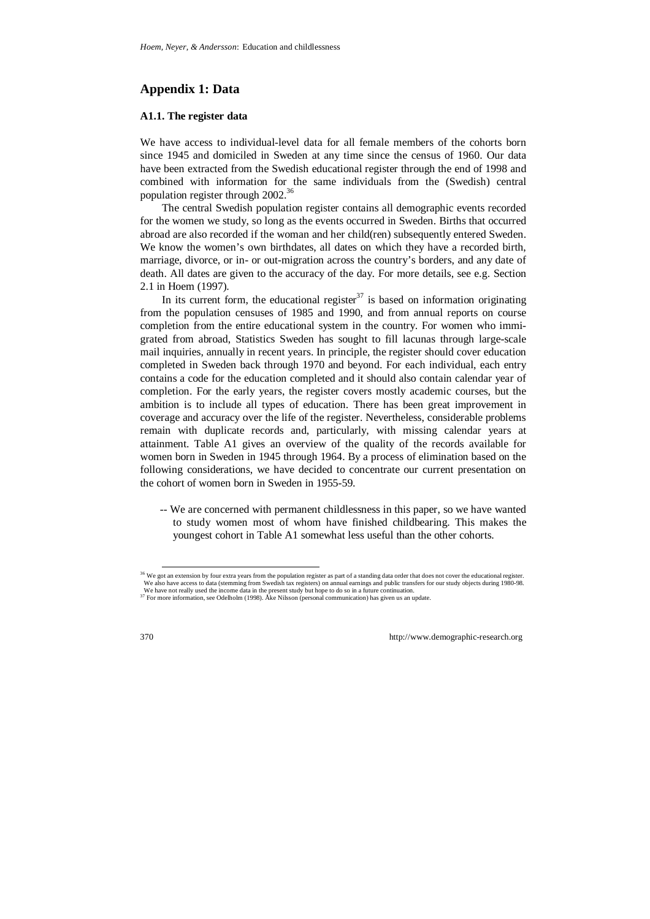# **Appendix 1: Data**

## **A1.1. The register data**

We have access to individual-level data for all female members of the cohorts born since 1945 and domiciled in Sweden at any time since the census of 1960. Our data have been extracted from the Swedish educational register through the end of 1998 and combined with information for the same individuals from the (Swedish) central population register through 2002.<sup>36</sup>

The central Swedish population register contains all demographic events recorded for the women we study, so long as the events occurred in Sweden. Births that occurred abroad are also recorded if the woman and her child(ren) subsequently entered Sweden. We know the women's own birthdates, all dates on which they have a recorded birth, marriage, divorce, or in- or out-migration across the country's borders, and any date of death. All dates are given to the accuracy of the day. For more details, see e.g. Section 2.1 in Hoem (1997).

In its current form, the educational register  $37$  is based on information originating from the population censuses of 1985 and 1990, and from annual reports on course completion from the entire educational system in the country. For women who immigrated from abroad, Statistics Sweden has sought to fill lacunas through large-scale mail inquiries, annually in recent years. In principle, the register should cover education completed in Sweden back through 1970 and beyond. For each individual, each entry contains a code for the education completed and it should also contain calendar year of completion. For the early years, the register covers mostly academic courses, but the ambition is to include all types of education. There has been great improvement in coverage and accuracy over the life of the register. Nevertheless, considerable problems remain with duplicate records and, particularly, with missing calendar years at attainment. Table A1 gives an overview of the quality of the records available for women born in Sweden in 1945 through 1964. By a process of elimination based on the following considerations, we have decided to concentrate our current presentation on the cohort of women born in Sweden in 1955-59.

-- We are concerned with permanent childlessness in this paper, so we have wanted to study women most of whom have finished childbearing. This makes the youngest cohort in Table A1 somewhat less useful than the other cohorts.

<sup>&</sup>lt;sup>36</sup> We got an extension by four extra years from the population register as part of a standing data order that does not cover the educational register. We also have access to data (stemming from Swedish tax registers) on annual earnings and public transfers for our study objects during 1980-98. We have not really used the income data in the present study but hope to do so in a future continuation.

<sup>&</sup>lt;sup>37</sup> For more information, see Odelholm (1998). Åke Nilsson (personal communication) has given us an update.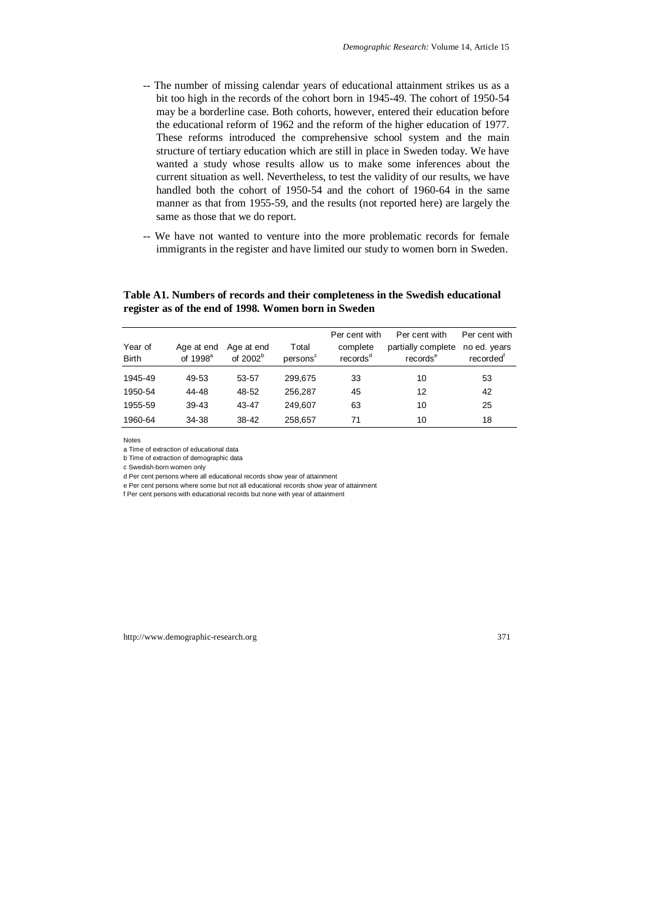- -- The number of missing calendar years of educational attainment strikes us as a bit too high in the records of the cohort born in 1945-49. The cohort of 1950-54 may be a borderline case. Both cohorts, however, entered their education before the educational reform of 1962 and the reform of the higher education of 1977. These reforms introduced the comprehensive school system and the main structure of tertiary education which are still in place in Sweden today. We have wanted a study whose results allow us to make some inferences about the current situation as well. Nevertheless, to test the validity of our results, we have handled both the cohort of 1950-54 and the cohort of 1960-64 in the same manner as that from 1955-59, and the results (not reported here) are largely the same as those that we do report.
- -- We have not wanted to venture into the more problematic records for female immigrants in the register and have limited our study to women born in Sweden.

## **Table A1. Numbers of records and their completeness in the Swedish educational register as of the end of 1998. Women born in Sweden**

|                         |                           |                                 |                               | Per cent with                    | Per cent with                              | Per cent with                         |
|-------------------------|---------------------------|---------------------------------|-------------------------------|----------------------------------|--------------------------------------------|---------------------------------------|
| Year of<br><b>Birth</b> | Age at end<br>of $1998^a$ | Age at end<br>of $2002^{\circ}$ | Total<br>persons <sup>c</sup> | complete<br>records <sup>d</sup> | partially complete<br>records <sup>e</sup> | no ed. years<br>recorded <sup>"</sup> |
| 1945-49                 | 49-53                     | 53-57                           | 299,675                       | 33                               | 10                                         | 53                                    |
| 1950-54                 | 44-48                     | 48-52                           | 256.287                       | 45                               | 12                                         | 42                                    |
| 1955-59                 | $39 - 43$                 | 43-47                           | 249.607                       | 63                               | 10                                         | 25                                    |
| 1960-64                 | 34-38                     | 38-42                           | 258,657                       | 71                               | 10                                         | 18                                    |

Notes

a Time of extraction of educational data

b Time of extraction of demographic data

c Swedish-born women only

d Per cent persons where all educational records show year of attainment

e Per cent persons where some but not all educational records show year of attainment

f Per cent persons with educational records but none with year of attainment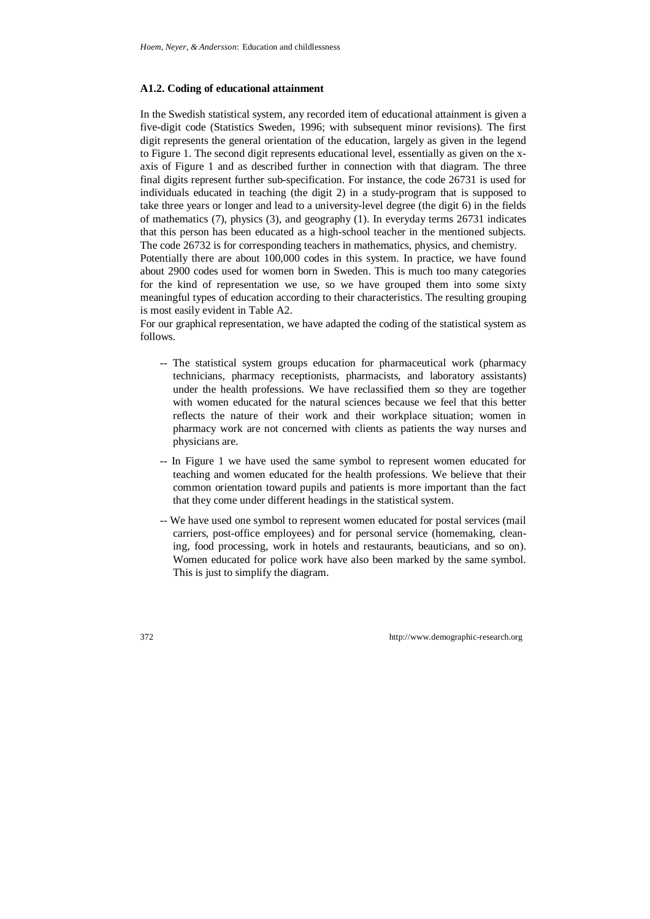#### **A1.2. Coding of educational attainment**

In the Swedish statistical system, any recorded item of educational attainment is given a five-digit code (Statistics Sweden, 1996; with subsequent minor revisions). The first digit represents the general orientation of the education, largely as given in the legend to Figure 1. The second digit represents educational level, essentially as given on the xaxis of Figure 1 and as described further in connection with that diagram. The three final digits represent further sub-specification. For instance, the code 26731 is used for individuals educated in teaching (the digit 2) in a study-program that is supposed to take three years or longer and lead to a university-level degree (the digit 6) in the fields of mathematics (7), physics (3), and geography (1). In everyday terms 26731 indicates that this person has been educated as a high-school teacher in the mentioned subjects. The code 26732 is for corresponding teachers in mathematics, physics, and chemistry.

Potentially there are about 100,000 codes in this system. In practice, we have found about 2900 codes used for women born in Sweden. This is much too many categories for the kind of representation we use, so we have grouped them into some sixty meaningful types of education according to their characteristics. The resulting grouping is most easily evident in Table A2.

For our graphical representation, we have adapted the coding of the statistical system as follows.

- -- The statistical system groups education for pharmaceutical work (pharmacy technicians, pharmacy receptionists, pharmacists, and laboratory assistants) under the health professions. We have reclassified them so they are together with women educated for the natural sciences because we feel that this better reflects the nature of their work and their workplace situation; women in pharmacy work are not concerned with clients as patients the way nurses and physicians are.
- -- In Figure 1 we have used the same symbol to represent women educated for teaching and women educated for the health professions. We believe that their common orientation toward pupils and patients is more important than the fact that they come under different headings in the statistical system.
- -- We have used one symbol to represent women educated for postal services (mail carriers, post-office employees) and for personal service (homemaking, cleaning, food processing, work in hotels and restaurants, beauticians, and so on). Women educated for police work have also been marked by the same symbol. This is just to simplify the diagram.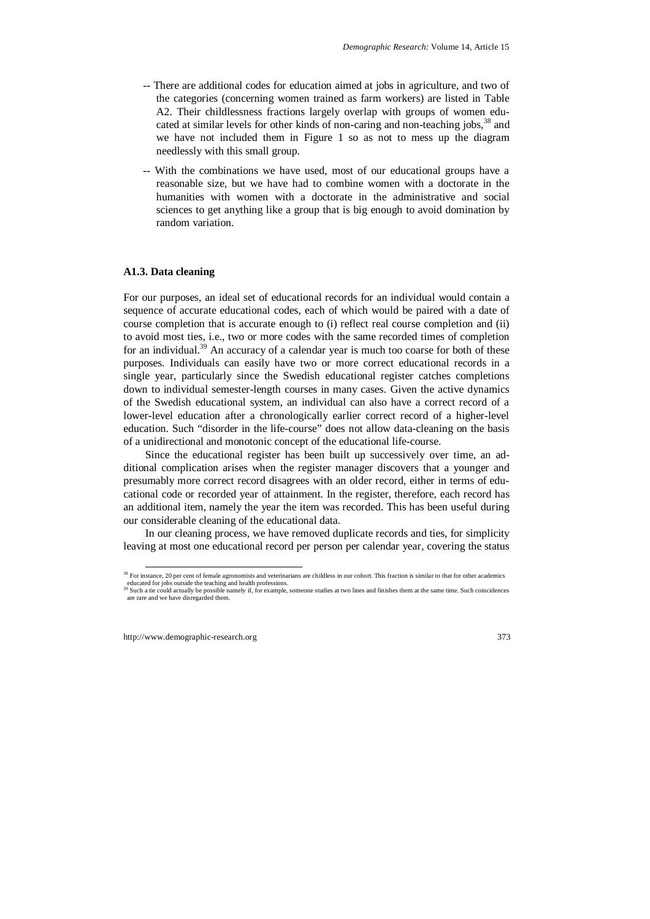- -- There are additional codes for education aimed at jobs in agriculture, and two of the categories (concerning women trained as farm workers) are listed in Table A2. Their childlessness fractions largely overlap with groups of women educated at similar levels for other kinds of non-caring and non-teaching jobs,<sup>38</sup> and we have not included them in Figure 1 so as not to mess up the diagram needlessly with this small group.
- -- With the combinations we have used, most of our educational groups have a reasonable size, but we have had to combine women with a doctorate in the humanities with women with a doctorate in the administrative and social sciences to get anything like a group that is big enough to avoid domination by random variation.

#### **A1.3. Data cleaning**

For our purposes, an ideal set of educational records for an individual would contain a sequence of accurate educational codes, each of which would be paired with a date of course completion that is accurate enough to (i) reflect real course completion and (ii) to avoid most ties, i.e., two or more codes with the same recorded times of completion for an individual.<sup>39</sup> An accuracy of a calendar year is much too coarse for both of these purposes. Individuals can easily have two or more correct educational records in a single year, particularly since the Swedish educational register catches completions down to individual semester-length courses in many cases. Given the active dynamics of the Swedish educational system, an individual can also have a correct record of a lower-level education after a chronologically earlier correct record of a higher-level education. Such "disorder in the life-course" does not allow data-cleaning on the basis of a unidirectional and monotonic concept of the educational life-course.

Since the educational register has been built up successively over time, an additional complication arises when the register manager discovers that a younger and presumably more correct record disagrees with an older record, either in terms of educational code or recorded year of attainment. In the register, therefore, each record has an additional item, namely the year the item was recorded. This has been useful during our considerable cleaning of the educational data.

In our cleaning process, we have removed duplicate records and ties, for simplicity leaving at most one educational record per person per calendar year, covering the status

<sup>&</sup>lt;sup>38</sup> For instance, 20 per cent of female agronomists and veterinarians are childless in our cohort. This fraction is similar to that for other academics educated for jobs outside the teaching and health professions.

<sup>39</sup> Such a tie could actually be possible namely if, for example, someone studies at two lines and finishes them at the same time. Such coincidences are rare and we have disregarded them.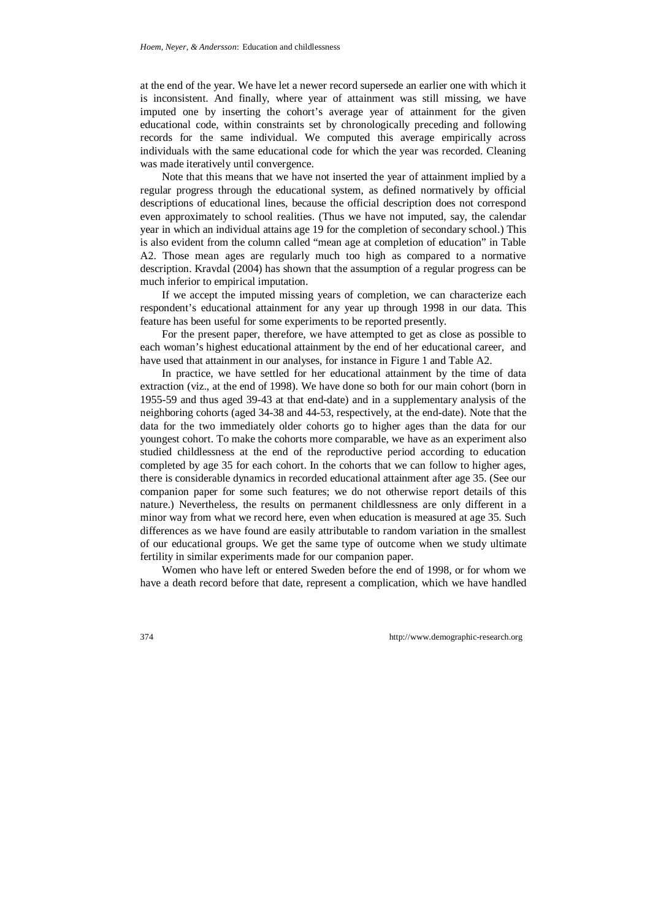at the end of the year. We have let a newer record supersede an earlier one with which it is inconsistent. And finally, where year of attainment was still missing, we have imputed one by inserting the cohort's average year of attainment for the given educational code, within constraints set by chronologically preceding and following records for the same individual. We computed this average empirically across individuals with the same educational code for which the year was recorded. Cleaning was made iteratively until convergence.

Note that this means that we have not inserted the year of attainment implied by a regular progress through the educational system, as defined normatively by official descriptions of educational lines, because the official description does not correspond even approximately to school realities. (Thus we have not imputed, say, the calendar year in which an individual attains age 19 for the completion of secondary school.) This is also evident from the column called "mean age at completion of education" in Table A2. Those mean ages are regularly much too high as compared to a normative description. Kravdal (2004) has shown that the assumption of a regular progress can be much inferior to empirical imputation.

If we accept the imputed missing years of completion, we can characterize each respondent's educational attainment for any year up through 1998 in our data. This feature has been useful for some experiments to be reported presently.

For the present paper, therefore, we have attempted to get as close as possible to each woman's highest educational attainment by the end of her educational career, and have used that attainment in our analyses, for instance in Figure 1 and Table A2.

In practice, we have settled for her educational attainment by the time of data extraction (viz., at the end of 1998). We have done so both for our main cohort (born in 1955-59 and thus aged 39-43 at that end-date) and in a supplementary analysis of the neighboring cohorts (aged 34-38 and 44-53, respectively, at the end-date). Note that the data for the two immediately older cohorts go to higher ages than the data for our youngest cohort. To make the cohorts more comparable, we have as an experiment also studied childlessness at the end of the reproductive period according to education completed by age 35 for each cohort. In the cohorts that we can follow to higher ages, there is considerable dynamics in recorded educational attainment after age 35. (See our companion paper for some such features; we do not otherwise report details of this nature.) Nevertheless, the results on permanent childlessness are only different in a minor way from what we record here, even when education is measured at age 35. Such differences as we have found are easily attributable to random variation in the smallest of our educational groups. We get the same type of outcome when we study ultimate fertility in similar experiments made for our companion paper.

Women who have left or entered Sweden before the end of 1998, or for whom we have a death record before that date, represent a complication, which we have handled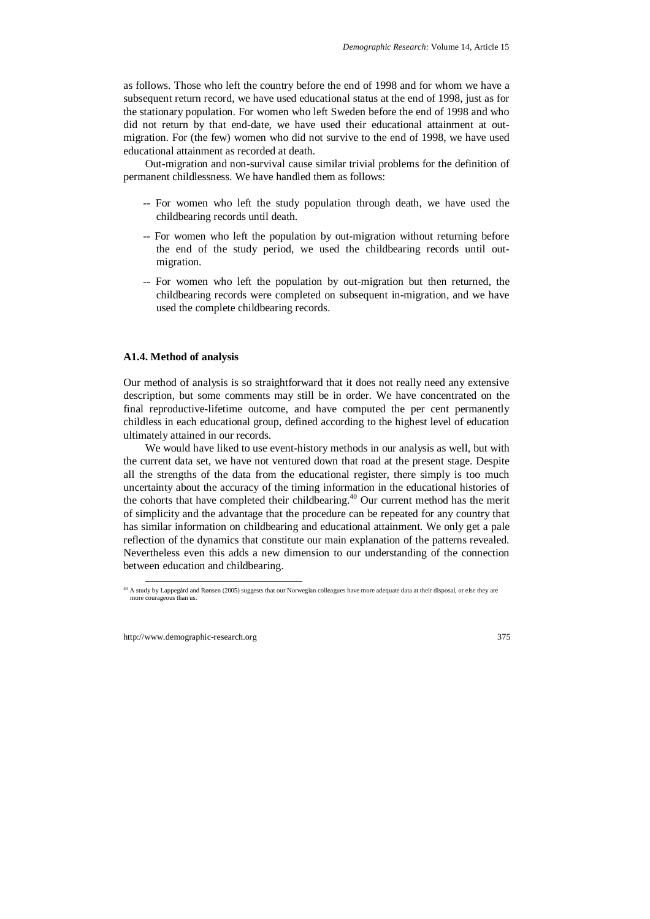as follows. Those who left the country before the end of 1998 and for whom we have a subsequent return record, we have used educational status at the end of 1998, just as for the stationary population. For women who left Sweden before the end of 1998 and who did not return by that end-date, we have used their educational attainment at outmigration. For (the few) women who did not survive to the end of 1998, we have used educational attainment as recorded at death.

Out-migration and non-survival cause similar trivial problems for the definition of permanent childlessness. We have handled them as follows:

- -- For women who left the study population through death, we have used the childbearing records until death.
- -- For women who left the population by out-migration without returning before the end of the study period, we used the childbearing records until outmigration.
- -- For women who left the population by out-migration but then returned, the childbearing records were completed on subsequent in-migration, and we have used the complete childbearing records.

#### **A1.4. Method of analysis**

Our method of analysis is so straightforward that it does not really need any extensive description, but some comments may still be in order. We have concentrated on the final reproductive-lifetime outcome, and have computed the per cent permanently childless in each educational group, defined according to the highest level of education ultimately attained in our records.

We would have liked to use event-history methods in our analysis as well, but with the current data set, we have not ventured down that road at the present stage. Despite all the strengths of the data from the educational register, there simply is too much uncertainty about the accuracy of the timing information in the educational histories of the cohorts that have completed their childbearing.40 Our current method has the merit of simplicity and the advantage that the procedure can be repeated for any country that has similar information on childbearing and educational attainment. We only get a pale reflection of the dynamics that constitute our main explanation of the patterns revealed. Nevertheless even this adds a new dimension to our understanding of the connection between education and childbearing.

<sup>&</sup>lt;sup>40</sup> A study by Lappegård and Rønsen (2005) suggests that our Norwegian colleagues have more adequate data at their disposal, or else they are more courageous than us.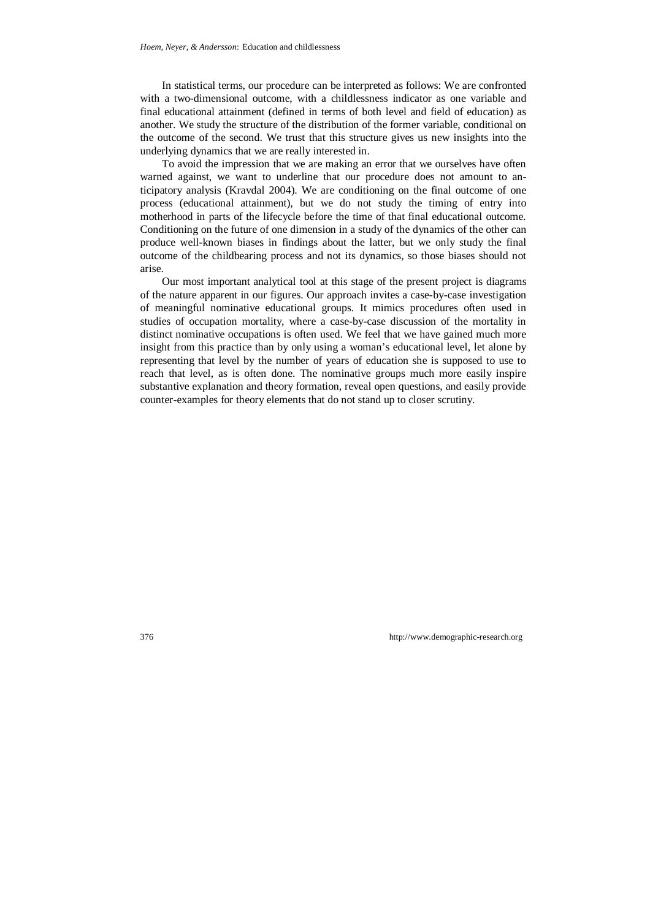In statistical terms, our procedure can be interpreted as follows: We are confronted with a two-dimensional outcome, with a childlessness indicator as one variable and final educational attainment (defined in terms of both level and field of education) as another. We study the structure of the distribution of the former variable, conditional on the outcome of the second. We trust that this structure gives us new insights into the underlying dynamics that we are really interested in.

To avoid the impression that we are making an error that we ourselves have often warned against, we want to underline that our procedure does not amount to anticipatory analysis (Kravdal 2004). We are conditioning on the final outcome of one process (educational attainment), but we do not study the timing of entry into motherhood in parts of the lifecycle before the time of that final educational outcome. Conditioning on the future of one dimension in a study of the dynamics of the other can produce well-known biases in findings about the latter, but we only study the final outcome of the childbearing process and not its dynamics, so those biases should not arise.

Our most important analytical tool at this stage of the present project is diagrams of the nature apparent in our figures. Our approach invites a case-by-case investigation of meaningful nominative educational groups. It mimics procedures often used in studies of occupation mortality, where a case-by-case discussion of the mortality in distinct nominative occupations is often used. We feel that we have gained much more insight from this practice than by only using a woman's educational level, let alone by representing that level by the number of years of education she is supposed to use to reach that level, as is often done. The nominative groups much more easily inspire substantive explanation and theory formation, reveal open questions, and easily provide counter-examples for theory elements that do not stand up to closer scrutiny.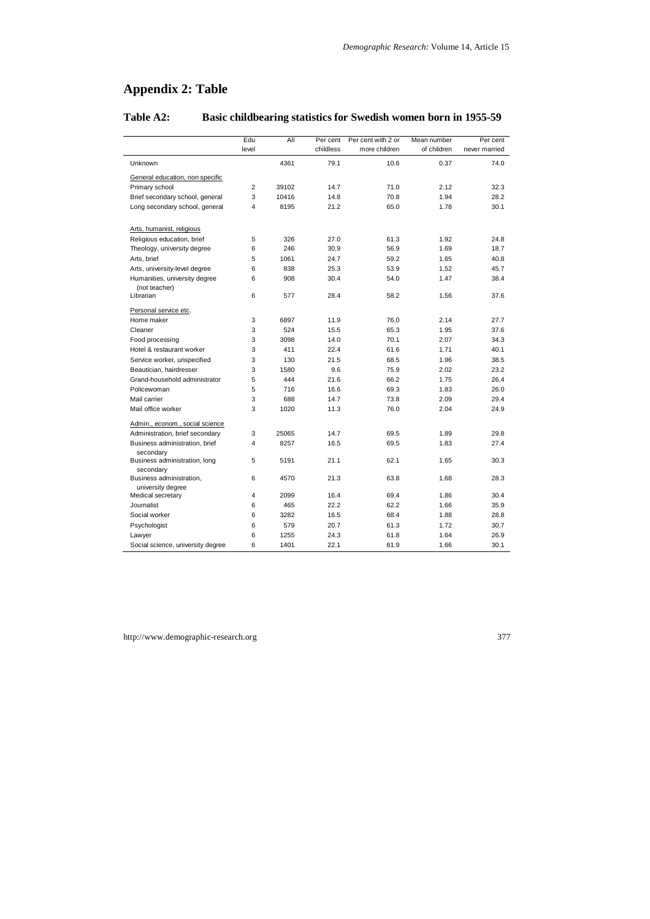# **Appendix 2: Table**

|                                                | Edu            | All   | Per cent  | Per cent with 2 or | Mean number | Per cent      |
|------------------------------------------------|----------------|-------|-----------|--------------------|-------------|---------------|
|                                                | level          |       | childless | more children      | of children | never married |
| Unknown                                        |                | 4361  | 79.1      | 10.6               | 0.37        | 74.0          |
| General education, non specific                |                |       |           |                    |             |               |
| Primary school                                 | $\overline{2}$ | 39102 | 14.7      | 71.0               | 2.12        | 32.3          |
| Brief secondary school, general                | 3              | 10416 | 14.8      | 70.8               | 1.94        | 28.2          |
| Long secondary school, general                 | 4              | 8195  | 21.2      | 65.0               | 1.78        | 30.1          |
| Arts, humanist, religious                      |                |       |           |                    |             |               |
| Religious education, brief                     | 5              | 326   | 27.0      | 61.3               | 1.92        | 24.8          |
| Theology, university degree                    | 6              | 246   | 30.9      | 56.9               | 1.69        | 18.7          |
| Arts, brief                                    | 5              | 1061  | 24.7      | 59.2               | 1.65        | 40.8          |
| Arts, university-level degree                  | 6              | 838   | 25.3      | 53.9               | 1.52        | 45.7          |
| Humanities, university degree<br>(not teacher) | 6              | 908   | 30.4      | 54.0               | 1.47        | 38.4          |
| Librarian                                      | 6              | 577   | 28.4      | 58.2               | 1.56        | 37.6          |
| Personal service etc.                          |                |       |           |                    |             |               |
| Home maker                                     | 3              | 6897  | 11.9      | 76.0               | 2.14        | 27.7          |
| Cleaner                                        | 3              | 524   | 15.5      | 65.3               | 1.95        | 37.6          |
| Food processing                                | 3              | 3098  | 14.0      | 70.1               | 2.07        | 34.3          |
| Hotel & restaurant worker                      | 3              | 411   | 22.4      | 61.6               | 1.71        | 40.1          |
| Service worker, unspecified                    | 3              | 130   | 21.5      | 68.5               | 1.96        | 38.5          |
| Beautician, hairdresser                        | 3              | 1580  | 9.6       | 75.9               | 2.02        | 23.2          |
| Grand-household administrator                  | 5              | 444   | 21.6      | 66.2               | 1.75        | 26.4          |
| Policewoman                                    | 5              | 716   | 16.6      | 69.3               | 1.83        | 26.0          |
| Mail carrier                                   | 3              | 688   | 14.7      | 73.8               | 2.09        | 29.4          |
| Mail office worker                             | 3              | 1020  | 11.3      | 76.0               | 2.04        | 24.9          |
| Admin., econom., social science                |                |       |           |                    |             |               |
| Administration, brief secondary                | 3              | 25065 | 14.7      | 69.5               | 1.89        | 29.8          |
| Business administration, brief<br>secondary    | 4              | 8257  | 16.5      | 69.5               | 1.83        | 27.4          |
| Business administration, long<br>secondary     | 5              | 5191  | 21.1      | 62.1               | 1.65        | 30.3          |
| Business administration,<br>university degree  | 6              | 4570  | 21.3      | 63.8               | 1.68        | 28.3          |
| Medical secretary                              | 4              | 2099  | 16.4      | 69.4               | 1.86        | 30.4          |
| Journalist                                     | 6              | 465   | 22.2      | 62.2               | 1.66        | 35.9          |
| Social worker                                  | 6              | 3282  | 16.5      | 68.4               | 1.88        | 28.8          |
| Psychologist                                   | 6              | 579   | 20.7      | 61.3               | 1.72        | 30.7          |
| Lawyer                                         | 6              | 1255  | 24.3      | 61.8               | 1.64        | 26.9          |
| Social science, university degree              | 6              | 1401  | 22.1      | 61.9               | 1.66        | 30.1          |

# **Table A2: Basic childbearing statistics for Swedish women born in 1955-59**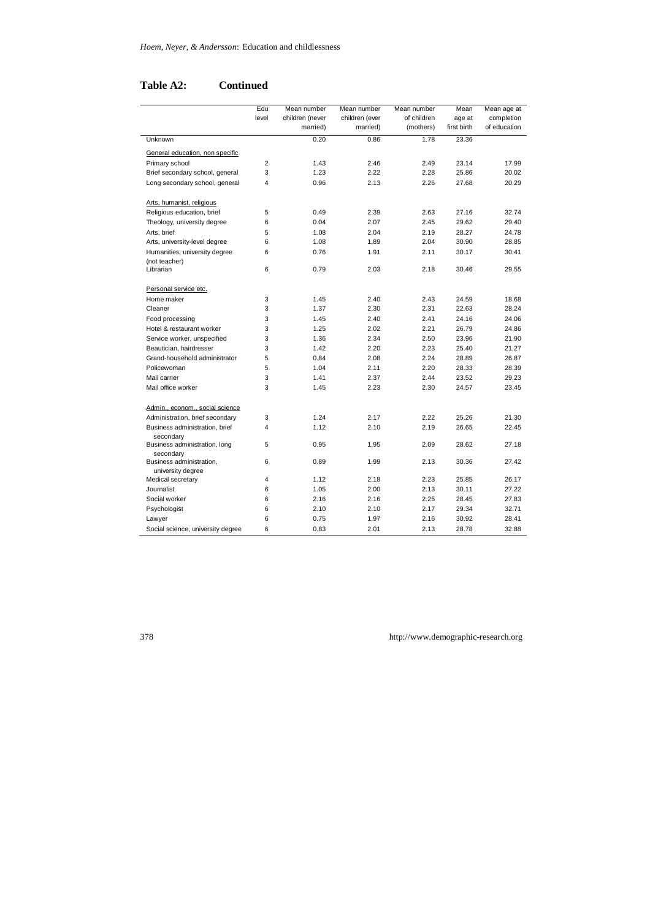# **Table A2: Continued**

|                                             | Edu            | Mean number     | Mean number    | Mean number | Mean        | Mean age at  |
|---------------------------------------------|----------------|-----------------|----------------|-------------|-------------|--------------|
|                                             | level          | children (never | children (ever | of children | age at      | completion   |
|                                             |                | married)        | married)       | (mothers)   | first birth | of education |
| Unknown                                     |                | 0.20            | 0.86           | 1.78        | 23.36       |              |
| General education, non specific             |                |                 |                |             |             |              |
| Primary school                              | $\overline{2}$ | 1.43            | 2.46           | 2.49        | 23.14       | 17.99        |
| Brief secondary school, general             | 3              | 1.23            | 2.22           | 2.28        | 25.86       | 20.02        |
| Long secondary school, general              | $\overline{4}$ | 0.96            | 2.13           | 2.26        | 27.68       | 20.29        |
| Arts, humanist, religious                   |                |                 |                |             |             |              |
| Religious education, brief                  | 5              | 0.49            | 2.39           | 2.63        | 27.16       | 32.74        |
| Theology, university degree                 | 6              | 0.04            | 2.07           | 2.45        | 29.62       | 29.40        |
| Arts, brief                                 | 5              | 1.08            | 2.04           | 2.19        | 28.27       | 24.78        |
| Arts, university-level degree               | 6              | 1.08            | 1.89           | 2.04        | 30.90       | 28.85        |
| Humanities, university degree               | 6              | 0.76            | 1.91           | 2.11        | 30.17       | 30.41        |
| (not teacher)                               |                |                 |                |             |             |              |
| Librarian                                   | 6              | 0.79            | 2.03           | 2.18        | 30.46       | 29.55        |
| Personal service etc.                       |                |                 |                |             |             |              |
| Home maker                                  | 3              | 1.45            | 2.40           | 2.43        | 24.59       | 18.68        |
| Cleaner                                     | 3              | 1.37            | 2.30           | 2.31        | 22.63       | 28.24        |
| Food processing                             | 3              | 1.45            | 2.40           | 2.41        | 24.16       | 24.06        |
| Hotel & restaurant worker                   | 3              | 1.25            | 2.02           | 2.21        | 26.79       | 24.86        |
| Service worker, unspecified                 | 3              | 1.36            | 2.34           | 2.50        | 23.96       | 21.90        |
| Beautician, hairdresser                     | 3              | 1.42            | 2.20           | 2.23        | 25.40       | 21.27        |
| Grand-household administrator               | 5              | 0.84            | 2.08           | 2.24        | 28.89       | 26.87        |
| Policewoman                                 | 5              | 1.04            | 2.11           | 2.20        | 28.33       | 28.39        |
| Mail carrier                                | 3              | 1.41            | 2.37           | 2.44        | 23.52       | 29.23        |
| Mail office worker                          | 3              | 1.45            | 2.23           | 2.30        | 24.57       | 23.45        |
| Admin., econom., social science             |                |                 |                |             |             |              |
| Administration, brief secondary             | 3              | 1.24            | 2.17           | 2.22        | 25.26       | 21.30        |
| Business administration, brief<br>secondary | $\overline{4}$ | 1.12            | 2.10           | 2.19        | 26.65       | 22.45        |
| Business administration, long<br>secondary  | 5              | 0.95            | 1.95           | 2.09        | 28.62       | 27.18        |
| Business administration,                    | 6              | 0.89            | 1.99           | 2.13        | 30.36       | 27.42        |
| university degree<br>Medical secretary      | 4              | 1.12            | 2.18           | 2.23        | 25.85       | 26.17        |
| Journalist                                  | 6              | 1.05            | 2.00           | 2.13        | 30.11       | 27.22        |
| Social worker                               | 6              | 2.16            | 2.16           | 2.25        | 28.45       | 27.83        |
| Psychologist                                | 6              | 2.10            | 2.10           | 2.17        | 29.34       | 32.71        |
| Lawyer                                      | 6              | 0.75            | 1.97           | 2.16        | 30.92       | 28.41        |
| Social science, university degree           | 6              | 0.83            | 2.01           | 2.13        | 28.78       | 32.88        |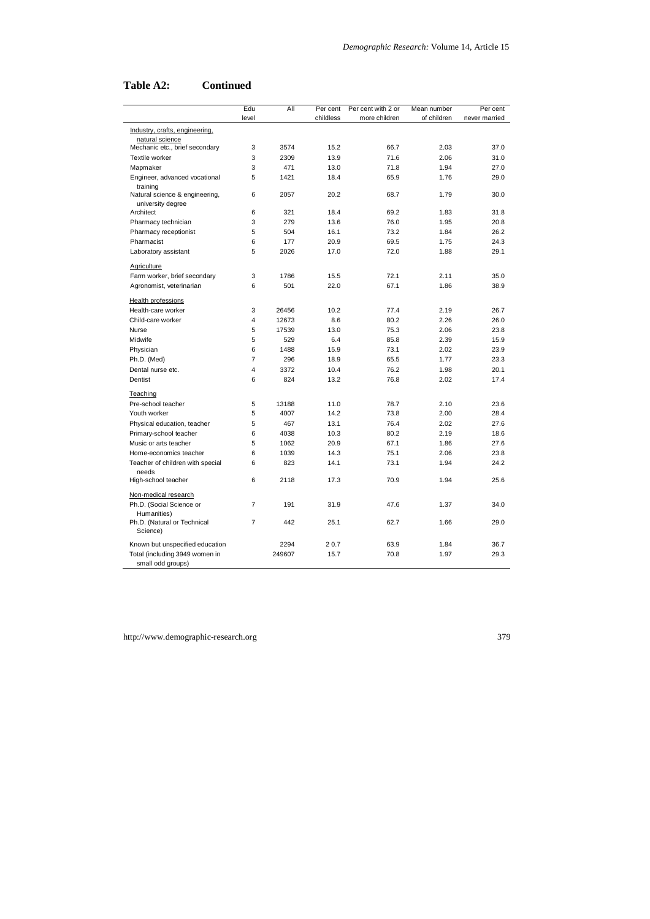# **Table A2: Continued**

|                                                     | Edu            | All    | Per cent  | Per cent with 2 or | Mean number | Per cent      |
|-----------------------------------------------------|----------------|--------|-----------|--------------------|-------------|---------------|
|                                                     | level          |        | childless | more children      | of children | never married |
| Industry, crafts, engineering,<br>natural science   |                |        |           |                    |             |               |
| Mechanic etc., brief secondary                      | 3              | 3574   | 15.2      | 66.7               | 2.03        | 37.0          |
| Textile worker                                      | 3              | 2309   | 13.9      | 71.6               | 2.06        | 31.0          |
| Mapmaker                                            | 3              | 471    | 13.0      | 71.8               | 1.94        | 27.0          |
| Engineer, advanced vocational<br>training           | 5              | 1421   | 18.4      | 65.9               | 1.76        | 29.0          |
| Natural science & engineering,<br>university degree | 6              | 2057   | 20.2      | 68.7               | 1.79        | 30.0          |
| Architect                                           | 6              | 321    | 18.4      | 69.2               | 1.83        | 31.8          |
| Pharmacy technician                                 | 3              | 279    | 13.6      | 76.0               | 1.95        | 20.8          |
| Pharmacy receptionist                               | 5              | 504    | 16.1      | 73.2               | 1.84        | 26.2          |
| Pharmacist                                          | 6              | 177    | 20.9      | 69.5               | 1.75        | 24.3          |
| Laboratory assistant                                | 5              | 2026   | 17.0      | 72.0               | 1.88        | 29.1          |
| Agriculture                                         |                |        |           |                    |             |               |
| Farm worker, brief secondary                        | 3              | 1786   | 15.5      | 72.1               | 2.11        | 35.0          |
| Agronomist, veterinarian                            | 6              | 501    | 22.0      | 67.1               | 1.86        | 38.9          |
| Health professions                                  |                |        |           |                    |             |               |
| Health-care worker                                  | 3              | 26456  | 10.2      | 77.4               | 2.19        | 26.7          |
| Child-care worker                                   | $\overline{4}$ | 12673  | 8.6       | 80.2               | 2.26        | 26.0          |
| Nurse                                               | 5              | 17539  | 13.0      | 75.3               | 2.06        | 23.8          |
| Midwife                                             | 5              | 529    | 6.4       | 85.8               | 2.39        | 15.9          |
| Physician                                           | 6              | 1488   | 15.9      | 73.1               | 2.02        | 23.9          |
| Ph.D. (Med)                                         | $\overline{7}$ | 296    | 18.9      | 65.5               | 1.77        | 23.3          |
| Dental nurse etc.                                   | $\overline{4}$ | 3372   | 10.4      | 76.2               | 1.98        | 20.1          |
| Dentist                                             | 6              | 824    | 13.2      | 76.8               | 2.02        | 17.4          |
| Teaching                                            |                |        |           |                    |             |               |
| Pre-school teacher                                  | 5              | 13188  | 11.0      | 78.7               | 2.10        | 23.6          |
| Youth worker                                        | 5              | 4007   | 14.2      | 73.8               | 2.00        | 28.4          |
| Physical education, teacher                         | 5              | 467    | 13.1      | 76.4               | 2.02        | 27.6          |
| Primary-school teacher                              | 6              | 4038   | 10.3      | 80.2               | 2.19        | 18.6          |
| Music or arts teacher                               | 5              | 1062   | 20.9      | 67.1               | 1.86        | 27.6          |
| Home-economics teacher                              | 6              | 1039   | 14.3      | 75.1               | 2.06        | 23.8          |
| Teacher of children with special<br>needs           | 6              | 823    | 14.1      | 73.1               | 1.94        | 24.2          |
| High-school teacher                                 | 6              | 2118   | 17.3      | 70.9               | 1.94        | 25.6          |
| Non-medical research                                |                |        |           |                    |             |               |
| Ph.D. (Social Science or<br>Humanities)             | $\overline{7}$ | 191    | 31.9      | 47.6               | 1.37        | 34.0          |
| Ph.D. (Natural or Technical<br>Science)             | $\overline{7}$ | 442    | 25.1      | 62.7               | 1.66        | 29.0          |
| Known but unspecified education                     |                | 2294   | 20.7      | 63.9               | 1.84        | 36.7          |
| Total (including 3949 women in<br>small odd groups) |                | 249607 | 15.7      | 70.8               | 1.97        | 29.3          |